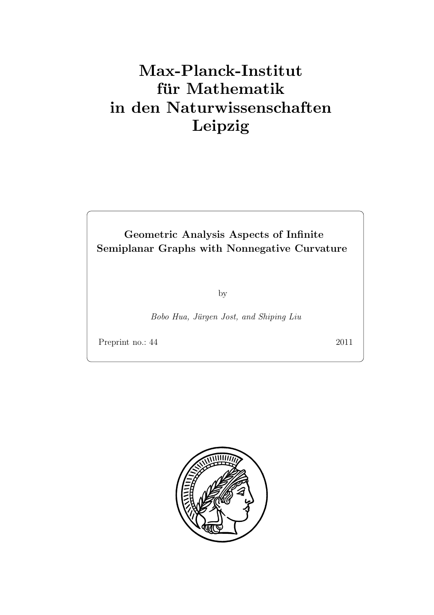# Max-Planck-Institut für Mathematik in den Naturwissenschaften Leipzig

Geometric Analysis Aspects of Infinite Semiplanar Graphs with Nonnegative Curvature

by

Bobo Hua, Jürgen Jost, and Shiping Liu

Preprint no.: 44 2011

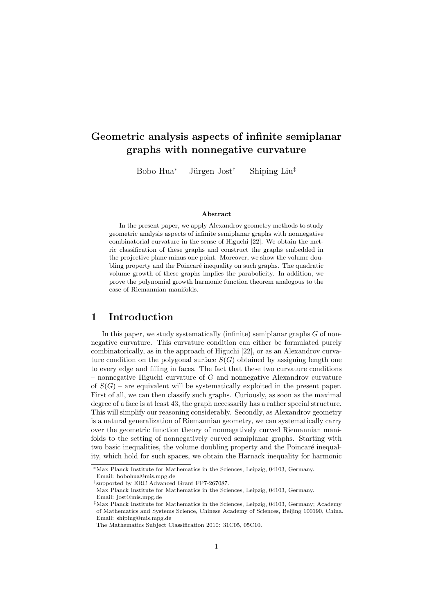# Geometric analysis aspects of infinite semiplanar graphs with nonnegative curvature

Bobo Hua<sup>∗</sup> Jürgen Jost<sup>†</sup> Shiping Liu<sup>‡</sup>

#### Abstract

In the present paper, we apply Alexandrov geometry methods to study geometric analysis aspects of infinite semiplanar graphs with nonnegative combinatorial curvature in the sense of Higuchi [22]. We obtain the metric classification of these graphs and construct the graphs embedded in the projective plane minus one point. Moreover, we show the volume doubling property and the Poincaré inequality on such graphs. The quadratic volume growth of these graphs implies the parabolicity. In addition, we prove the polynomial growth harmonic function theorem analogous to the case of Riemannian manifolds.

#### 1 Introduction

In this paper, we study systematically (infinite) semiplanar graphs  $G$  of nonnegative curvature. This curvature condition can either be formulated purely combinatorically, as in the approach of Higuchi [22], or as an Alexandrov curvature condition on the polygonal surface  $S(G)$  obtained by assigning length one to every edge and filling in faces. The fact that these two curvature conditions – nonnegative Higuchi curvature of G and nonnegative Alexandrov curvature of  $S(G)$  – are equivalent will be systematically exploited in the present paper. First of all, we can then classify such graphs. Curiously, as soon as the maximal degree of a face is at least 43, the graph necessarily has a rather special structure. This will simplify our reasoning considerably. Secondly, as Alexandrov geometry is a natural generalization of Riemannian geometry, we can systematically carry over the geometric function theory of nonnegatively curved Riemannian manifolds to the setting of nonnegatively curved semiplanar graphs. Starting with two basic inequalities, the volume doubling property and the Poincaré inequality, which hold for such spaces, we obtain the Harnack inequality for harmonic

<sup>∗</sup>Max Planck Institute for Mathematics in the Sciences, Leipzig, 04103, Germany. Email: bobohua@mis.mpg.de

<sup>†</sup> supported by ERC Advanced Grant FP7-267087. Max Planck Institute for Mathematics in the Sciences, Leipzig, 04103, Germany.

Email: jost@mis.mpg.de

<sup>‡</sup>Max Planck Institute for Mathematics in the Sciences, Leipzig, 04103, Germany; Academy of Mathematics and Systems Science, Chinese Academy of Sciences, Beijing 100190, China. Email: shiping@mis.mpg.de

The Mathematics Subject Classification 2010: 31C05, 05C10.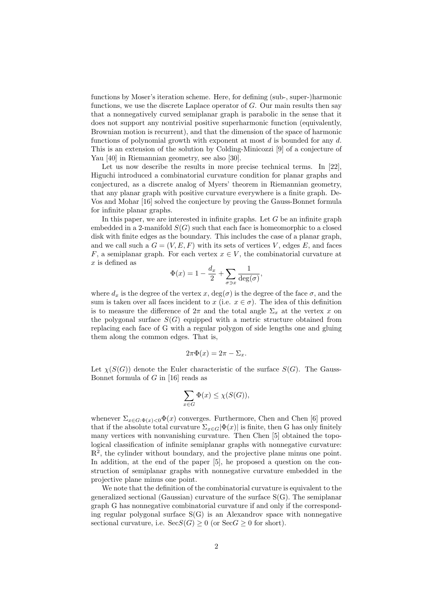functions by Moser's iteration scheme. Here, for defining (sub-, super-)harmonic functions, we use the discrete Laplace operator of  $G$ . Our main results then say that a nonnegatively curved semiplanar graph is parabolic in the sense that it does not support any nontrivial positive superharmonic function (equivalently, Brownian motion is recurrent), and that the dimension of the space of harmonic functions of polynomial growth with exponent at most  $d$  is bounded for any  $d$ . This is an extension of the solution by Colding-Minicozzi [9] of a conjecture of Yau [40] in Riemannian geometry, see also [30].

Let us now describe the results in more precise technical terms. In [22], Higuchi introduced a combinatorial curvature condition for planar graphs and conjectured, as a discrete analog of Myers' theorem in Riemannian geometry, that any planar graph with positive curvature everywhere is a finite graph. De-Vos and Mohar [16] solved the conjecture by proving the Gauss-Bonnet formula for infinite planar graphs.

In this paper, we are interested in infinite graphs. Let  $G$  be an infinite graph embedded in a 2-manifold  $S(G)$  such that each face is homeomorphic to a closed disk with finite edges as the boundary. This includes the case of a planar graph, and we call such a  $G = (V, E, F)$  with its sets of vertices V, edges E, and faces F, a semiplanar graph. For each vertex  $x \in V$ , the combinatorial curvature at  $x$  is defined as

$$
\Phi(x) = 1 - \frac{d_x}{2} + \sum_{\sigma \ni x} \frac{1}{\deg(\sigma)},
$$

where  $d_x$  is the degree of the vertex x,  $deg(\sigma)$  is the degree of the face  $\sigma$ , and the sum is taken over all faces incident to x (i.e.  $x \in \sigma$ ). The idea of this definition is to measure the difference of  $2\pi$  and the total angle  $\Sigma_x$  at the vertex x on the polygonal surface  $S(G)$  equipped with a metric structure obtained from replacing each face of G with a regular polygon of side lengths one and gluing them along the common edges. That is,

$$
2\pi\Phi(x) = 2\pi - \Sigma_x.
$$

Let  $\chi(S(G))$  denote the Euler characteristic of the surface  $S(G)$ . The Gauss-Bonnet formula of  $G$  in [16] reads as

$$
\sum_{x \in G} \Phi(x) \le \chi(S(G)),
$$

whenever  $\Sigma_{x \in G: \Phi(x) < 0} \Phi(x)$  converges. Furthermore, Chen and Chen [6] proved that if the absolute total curvature  $\Sigma_{x \in G} |\Phi(x)|$  is finite, then G has only finitely many vertices with nonvanishing curvature. Then Chen [5] obtained the topological classification of infinite semiplanar graphs with nonnegative curvature:  $\mathbb{R}^2$ , the cylinder without boundary, and the projective plane minus one point. In addition, at the end of the paper [5], he proposed a question on the construction of semiplanar graphs with nonnegative curvature embedded in the projective plane minus one point.

We note that the definition of the combinatorial curvature is equivalent to the generalized sectional (Gaussian) curvature of the surface S(G). The semiplanar graph G has nonnegative combinatorial curvature if and only if the corresponding regular polygonal surface  $S(G)$  is an Alexandrov space with nonnegative sectional curvature, i.e.  $\operatorname{Sec}S(G) \geq 0$  (or  $\operatorname{Sec}G \geq 0$  for short).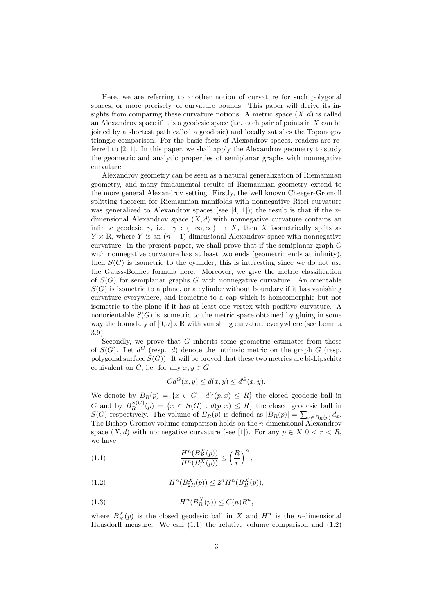Here, we are referring to another notion of curvature for such polygonal spaces, or more precisely, of curvature bounds. This paper will derive its insights from comparing these curvature notions. A metric space  $(X, d)$  is called an Alexandrov space if it is a geodesic space (i.e. each pair of points in  $X$  can be joined by a shortest path called a geodesic) and locally satisfies the Toponogov triangle comparison. For the basic facts of Alexandrov spaces, readers are referred to [2, 1]. In this paper, we shall apply the Alexandrov geometry to study the geometric and analytic properties of semiplanar graphs with nonnegative curvature.

Alexandrov geometry can be seen as a natural generalization of Riemannian geometry, and many fundamental results of Riemannian geometry extend to the more general Alexandrov setting. Firstly, the well known Cheeger-Gromoll splitting theorem for Riemannian manifolds with nonnegative Ricci curvature was generalized to Alexandrov spaces (see  $[4, 1]$ ); the result is that if the *n*dimensional Alexandrov space  $(X, d)$  with nonnegative curvature contains an infinite geodesic  $\gamma$ , i.e.  $\gamma : (-\infty, \infty) \to X$ , then X isometrically splits as  $Y \times \mathbb{R}$ , where Y is an  $(n-1)$ -dimensional Alexandrov space with nonnegative curvature. In the present paper, we shall prove that if the semiplanar graph  $G$ with nonnegative curvature has at least two ends (geometric ends at infinity), then  $S(G)$  is isometric to the cylinder; this is interesting since we do not use the Gauss-Bonnet formula here. Moreover, we give the metric classification of  $S(G)$  for semiplanar graphs G with nonnegative curvature. An orientable  $S(G)$  is isometric to a plane, or a cylinder without boundary if it has vanishing curvature everywhere, and isometric to a cap which is homeomorphic but not isometric to the plane if it has at least one vertex with positive curvature. A nonorientable  $S(G)$  is isometric to the metric space obtained by gluing in some way the boundary of  $[0, a] \times \mathbb{R}$  with vanishing curvature everywhere (see Lemma 3.9).

Secondly, we prove that  $G$  inherits some geometric estimates from those of  $S(G)$ . Let  $d^G$  (resp. d) denote the intrinsic metric on the graph G (resp. polygonal surface  $S(G)$ ). It will be proved that these two metrics are bi-Lipschitz equivalent on G, i.e. for any  $x, y \in G$ ,

$$
Cd^{G}(x,y) \le d(x,y) \le d^{G}(x,y).
$$

We denote by  $B_R(p) = \{x \in G : d^G(p,x) \leq R\}$  the closed geodesic ball in G and by  $B_R^{S(G)}(p) = \{x \in S(G) : d(p,x) \leq R\}$  the closed geodesic ball in  $S(G)$  respectively. The volume of  $B_R(p)$  is defined as  $|B_R(p)| = \sum_{x \in B_R(p)} d_x$ . The Bishop-Gromov volume comparison holds on the *n*-dimensional Alexandrov space  $(X, d)$  with nonnegative curvature (see [1]). For any  $p \in X, 0 < r < R$ , we have

(1.1) 
$$
\frac{H^n(B_R^X(p))}{H^n(B_r^X(p))} \leq \left(\frac{R}{r}\right)^n,
$$

(1.2) 
$$
H^{n}(B_{2R}^{X}(p)) \leq 2^{n} H^{n}(B_{R}^{X}(p)),
$$

(1.3) 
$$
H^n(B_R^X(p)) \le C(n)R^n,
$$

where  $B_R^X(p)$  is the closed geodesic ball in X and  $H^n$  is the n-dimensional Hausdorff measure. We call  $(1.1)$  the relative volume comparison and  $(1.2)$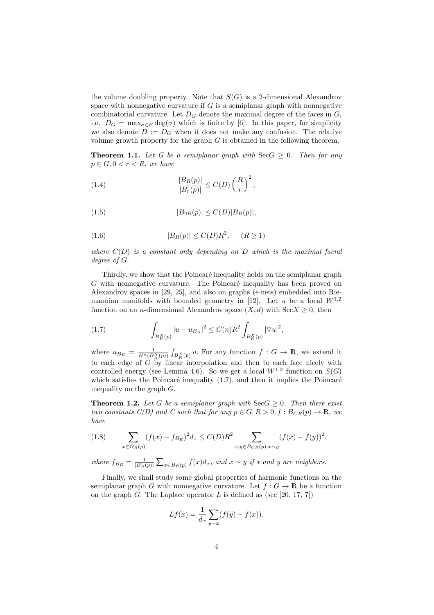the volume doubling property. Note that  $S(G)$  is a 2-dimensional Alexandrov space with nonnegative curvature if  $G$  is a semiplanar graph with nonnegative combinatorial curvature. Let  $D_G$  denote the maximal degree of the faces in  $G$ , i.e.  $D_G = \max_{\sigma \in F} \deg(\sigma)$  which is finite by [6]. In this paper, for simplicity we also denote  $D := D_G$  when it does not make any confusion. The relative volume growth property for the graph  $G$  is obtained in the following theorem.

**Theorem 1.1.** Let G be a semiplanar graph with  $\text{SecG} \geq 0$ . Then for any  $p \in G, 0 < r < R$ , we have

(1.4) 
$$
\frac{|B_R(p)|}{|B_r(p)|} \leq C(D) \left(\frac{R}{r}\right)^2,
$$

(1.5) 
$$
|B_{2R}(p)| \le C(D)|B_R(p)|,
$$

$$
(1.6) \t\t |B_R(p)| \le C(D)R^2, \t (R \ge 1)
$$

where  $C(D)$  is a constant only depending on D which is the maximal facial degree of G.

Thirdly, we show that the Poincaré inequality holds on the semiplanar graph  $G$  with nonnegative curvature. The Poincaré inequality has been proved on Alexandrov spaces in [29, 25], and also on graphs ( $\epsilon$ -nets) embedded into Riemannian manifolds with bounded geometry in [12]. Let u be a local  $W^{1,2}$ function on an *n*-dimensional Alexandrov space  $(X, d)$  with Sec $X \geq 0$ , then

(1.7) 
$$
\int_{B_R^X(p)} |u - u_{B_R}|^2 \leq C(n)R^2 \int_{B_R^X(p)} |\nabla u|^2,
$$

where  $u_{B_R} = \frac{1}{H^n(B_R^X(p))}$  $\overline{\phantom{a}}$  $\int_{B_R^X(p)} u$ . For any function  $f: G \to \mathbb{R}$ , we extend it to each edge of G by linear interpolation and then to each face nicely with controlled energy (see Lemma 4.6). So we get a local  $W^{1,2}$  function on  $S(G)$ which satisfies the Poincaré inequality  $(1.7)$ , and then it implies the Poincaré inequality on the graph G.

**Theorem 1.2.** Let G be a semiplanar graph with  $\text{Sec } G \geq 0$ . Then there exist two constants  $C(D)$  and C such that for any  $p \in G, R > 0, f : B_{CR}(p) \to \mathbb{R}$ , we have

(1.8) 
$$
\sum_{x \in B_R(p)} (f(x) - f_{B_R})^2 d_x \le C(D) R^2 \sum_{x, y \in B_{CR}(p); x \sim y} (f(x) - f(y))^2,
$$

where  $f_{B_R} = \frac{1}{|B_R(p)|} \sum_{x \in B_R(p)} f(x) d_x$ , and  $x \sim y$  if x and y are neighbors.

Finally, we shall study some global properties of harmonic functions on the semiplanar graph G with nonnegative curvature. Let  $f: G \to \mathbb{R}$  be a function on the graph G. The Laplace operator L is defined as (see [20, 17, 7])

$$
Lf(x) = \frac{1}{d_x} \sum_{y \sim x} (f(y) - f(x)).
$$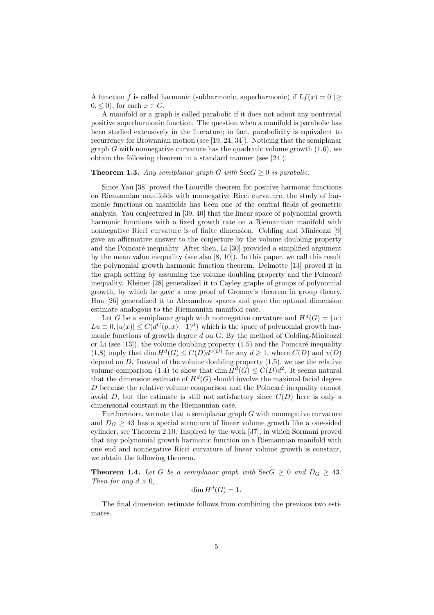A function f is called harmonic (subharmonic, superharmonic) if  $Lf(x) = 0$  ( $\geq$  $0, \leq 0$ , for each  $x \in G$ .

A manifold or a graph is called parabolic if it does not admit any nontrivial positive superharmonic function. The question when a manifold is parabolic has been studied extensively in the literature; in fact, parabolicity is equivalent to recurrency for Brownnian motion (see [19, 24, 34]). Noticing that the semiplanar graph G with nonnegative curvature has the quadratic volume growth  $(1.6)$ , we obtain the following theorem in a standard manner (see [24]).

#### **Theorem 1.3.** Any semiplanar graph G with  $\text{SecG} > 0$  is parabolic.

Since Yau [38] proved the Liouville theorem for positive harmonic functions on Riemannian manifolds with nonnegative Ricci curvature, the study of harmonic functions on manifolds has been one of the central fields of geometric analysis. Yau conjectured in [39, 40] that the linear space of polynomial growth harmonic functions with a fixed growth rate on a Riemannian manifold with nonnegative Ricci curvature is of finite dimension. Colding and Minicozzi [9] gave an affirmative answer to the conjecture by the volume doubling property and the Poincaré inequality. After then, Li [30] provided a simplified argument by the mean value inequality (see also [8, 10]). In this paper, we call this result the polynomial growth harmonic function theorem. Delmotte [13] proved it in the graph setting by assuming the volume doubling property and the Poincaré inequality. Kleiner [28] generalized it to Cayley graphs of groups of polynomial growth, by which he gave a new proof of Gromov's theorem in group theory. Hua [26] generalized it to Alexandrov spaces and gave the optimal dimension estimate analogous to the Riemannian manifold case.

Let G be a semiplanar graph with nonnegative curvature and  $H^d(G) = \{u :$  $Lu \equiv 0, |u(x)| \leq C(d^G(p,x)+1)^d$  which is the space of polynomial growth harmonic functions of growth degree  $d$  on G. By the method of Colding-Minicozzi or Li (see [13]), the volume doubling property  $(1.5)$  and the Poincaré inequality (1.8) imply that dim  $H^d(G) \leq C(D)d^{v(D)}$  for any  $d \geq 1$ , where  $C(D)$  and  $v(D)$ depend on  $D$ . Instead of the volume doubling property  $(1.5)$ , we use the relative volume comparison (1.4) to show that dim  $H^d(G) \leq C(D)d^2$ . It seems natural that the dimension estimate of  $H^d(G)$  should involve the maximal facial degree  $D$  because the relative volume comparison and the Poincaré inequality cannot avoid D, but the estimate is still not satisfactory since  $C(D)$  here is only a dimensional constant in the Riemannian case.

Furthermore, we note that a semiplanar graph  $G$  with nonnegative curvature and  $D_G \geq 43$  has a special structure of linear volume growth like a one-sided cylinder, see Theorem 2.10. Inspired by the work [37], in which Sormani proved that any polynomial growth harmonic function on a Riemannian manifold with one end and nonnegative Ricci curvature of linear volume growth is constant, we obtain the following theorem.

**Theorem 1.4.** Let G be a semiplanar graph with  $\text{Sec } G \geq 0$  and  $D_G \geq 43$ . Then for any  $d > 0$ ,

$$
\dim H^d(G) = 1.
$$

The final dimension estimate follows from combining the previous two estimates.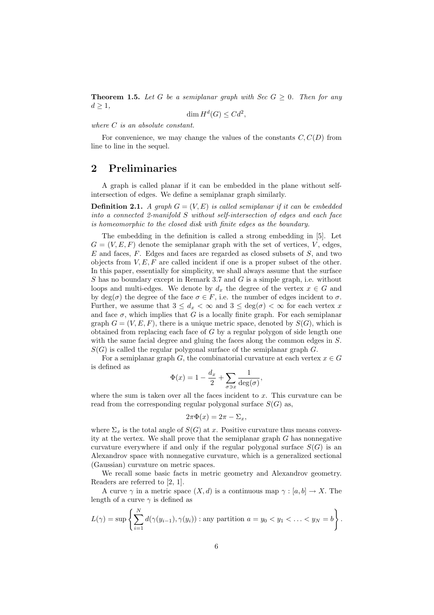**Theorem 1.5.** Let G be a semiplanar graph with Sec  $G \geq 0$ . Then for any  $d \geq 1$ ,

$$
\dim H^d(G) \leq C d^2,
$$

where  $C$  is an absolute constant.

For convenience, we may change the values of the constants  $C, C(D)$  from line to line in the sequel.

### 2 Preliminaries

A graph is called planar if it can be embedded in the plane without selfintersection of edges. We define a semiplanar graph similarly.

**Definition 2.1.** A graph  $G = (V, E)$  is called semiplanar if it can be embedded into a connected 2-manifold S without self-intersection of edges and each face is homeomorphic to the closed disk with finite edges as the boundary.

The embedding in the definition is called a strong embedding in [5]. Let  $G = (V, E, F)$  denote the semiplanar graph with the set of vertices, V, edges,  $E$  and faces,  $F$ . Edges and faces are regarded as closed subsets of  $S$ , and two objects from  $V, E, F$  are called incident if one is a proper subset of the other. In this paper, essentially for simplicity, we shall always assume that the surface  $S$  has no boundary except in Remark 3.7 and  $G$  is a simple graph, i.e. without loops and multi-edges. We denote by  $d_x$  the degree of the vertex  $x \in G$  and by deg( $\sigma$ ) the degree of the face  $\sigma \in F$ , i.e. the number of edges incident to  $\sigma$ . Further, we assume that  $3 \leq d_x < \infty$  and  $3 \leq \deg(\sigma) < \infty$  for each vertex x and face  $\sigma$ , which implies that G is a locally finite graph. For each semiplanar graph  $G = (V, E, F)$ , there is a unique metric space, denoted by  $S(G)$ , which is obtained from replacing each face of  $G$  by a regular polygon of side length one with the same facial degree and gluing the faces along the common edges in  $S$ .  $S(G)$  is called the regular polygonal surface of the semiplanar graph G.

For a semiplanar graph G, the combinatorial curvature at each vertex  $x \in G$ is defined as

$$
\Phi(x) = 1 - \frac{d_x}{2} + \sum_{\sigma \ni x} \frac{1}{\deg(\sigma)},
$$

where the sum is taken over all the faces incident to  $x$ . This curvature can be read from the corresponding regular polygonal surface  $S(G)$  as,

$$
2\pi\Phi(x) = 2\pi - \Sigma_x,
$$

where  $\Sigma_x$  is the total angle of  $S(G)$  at x. Positive curvature thus means convexity at the vertex. We shall prove that the semiplanar graph  $G$  has nonnegative curvature everywhere if and only if the regular polygonal surface  $S(G)$  is an Alexandrov space with nonnegative curvature, which is a generalized sectional (Gaussian) curvature on metric spaces.

We recall some basic facts in metric geometry and Alexandrov geometry. Readers are referred to [2, 1].

A curve  $\gamma$  in a metric space  $(X, d)$  is a continuous map  $\gamma : [a, b] \to X$ . The length of a curve  $\gamma$  is defined as

$$
L(\gamma) = \sup \left\{ \sum_{i=1}^N d(\gamma(y_{i-1}), \gamma(y_i)) : \text{any partition } a = y_0 < y_1 < \ldots < y_N = b \right\}.
$$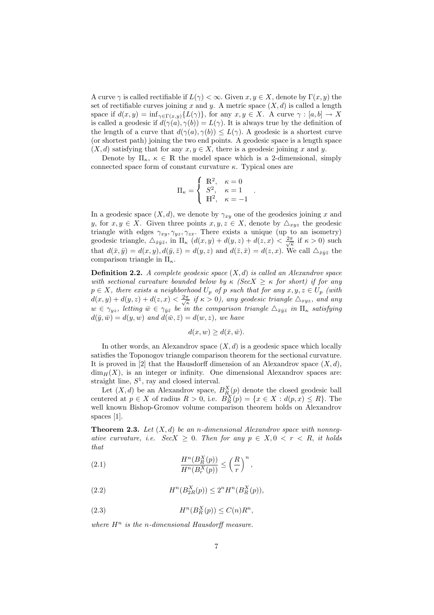A curve  $\gamma$  is called rectifiable if  $L(\gamma) < \infty$ . Given  $x, y \in X$ , denote by  $\Gamma(x, y)$  the set of rectifiable curves joining x and y. A metric space  $(X, d)$  is called a length space if  $d(x, y) = \inf_{\gamma \in \Gamma(x, y)} \{L(\gamma)\}\)$ , for any  $x, y \in X$ . A curve  $\gamma : [a, b] \to X$ is called a geodesic if  $d(\gamma(a), \gamma(b)) = L(\gamma)$ . It is always true by the definition of the length of a curve that  $d(\gamma(a), \gamma(b)) \leq L(\gamma)$ . A geodesic is a shortest curve (or shortest path) joining the two end points. A geodesic space is a length space  $(X, d)$  satisfying that for any  $x, y \in X$ , there is a geodesic joining x and y.

Denote by  $\Pi_{\kappa}, \kappa \in \mathbb{R}$  the model space which is a 2-dimensional, simply connected space form of constant curvature  $\kappa$ . Typical ones are

$$
\Pi_{\kappa} = \begin{cases} \mathbb{R}^2, & \kappa = 0 \\ S^2, & \kappa = 1 \\ \mathbb{H}^2, & \kappa = -1 \end{cases}
$$

.

In a geodesic space  $(X, d)$ , we denote by  $\gamma_{xy}$  one of the geodesics joining x and y, for  $x, y \in X$ . Given three points  $x, y, z \in X$ , denote by  $\triangle_{xyz}$  the geodesic triangle with edges  $\gamma_{xy}, \gamma_{yz}, \gamma_{zx}$ . There exists a unique (up to an isometry) geodesic triangle,  $\Delta_{\bar{x}\bar{y}\bar{z}}$ , in  $\Pi_{\kappa}$   $(d(x, y) + d(y, z) + d(z, x) < \frac{2\pi}{\sqrt{\kappa}}$  if  $\kappa > 0$ ) such that  $d(\bar{x}, \bar{y}) = d(x, y), d(\bar{y}, \bar{z}) = d(y, z)$  and  $d(\bar{z}, \bar{x}) = d(z, x)$ . We call  $\Delta_{\bar{x}\bar{y}\bar{z}}$  the comparison triangle in  $\Pi_{\kappa}$ .

**Definition 2.2.** A complete geodesic space  $(X, d)$  is called an Alexandrov space with sectional curvature bounded below by  $\kappa$  (SecX  $\geq \kappa$  for short) if for any  $p \in X$ , there exists a neighborhood  $U_p$  of p such that for any  $x, y, z \in U_p$  (with  $d(x,y) + d(y,z) + d(z,x) < \frac{2\pi}{\sqrt{\kappa}}$  if  $\kappa > 0$ ), any geodesic triangle  $\triangle_{xyz}$ , and any  $w \in \gamma_{yz}$ , letting  $\bar{w} \in \gamma_{\bar{y}\bar{z}}$  be in the comparison triangle  $\Delta_{\bar{x}\bar{y}\bar{z}}$  in  $\Pi_{\kappa}$  satisfying  $d(\bar{y}, \bar{w}) = d(y, w)$  and  $d(\bar{w}, \bar{z}) = d(w, z)$ , we have

$$
d(x, w) \ge d(\bar{x}, \bar{w}).
$$

In other words, an Alexandrov space  $(X, d)$  is a geodesic space which locally satisfies the Toponogov triangle comparison theorem for the sectional curvature. It is proved in [2] that the Hausdorff dimension of an Alexandrov space  $(X, d)$ ,  $\dim_H(X)$ , is an integer or infinity. One dimensional Alexandrov spaces are: straight line,  $S^1$ , ray and closed interval.

Let  $(X, d)$  be an Alexandrov space,  $B_R^X(p)$  denote the closed geodesic ball centered at  $p \in X$  of radius  $R > 0$ , i.e.  $\overrightarrow{B_R}(p) = \{x \in X : d(p,x) \leq R\}$ . The well known Bishop-Gromov volume comparison theorem holds on Alexandrov spaces [1].

**Theorem 2.3.** Let  $(X, d)$  be an n-dimensional Alexandrov space with nonnegative curvature, i.e.  $SecX \geq 0$ . Then for any  $p \in X, 0 \lt r \lt R$ , it holds that

(2.1) 
$$
\frac{H^n(B_R^X(p))}{H^n(B_r^X(p))} \leq \left(\frac{R}{r}\right)^n,
$$

(2.2) 
$$
H^{n}(B_{2R}^{X}(p)) \leq 2^{n} H^{n}(B_{R}^{X}(p)),
$$

(2.3) 
$$
H^n(B_R^X(p)) \le C(n)R^n,
$$

where  $H^n$  is the n-dimensional Hausdorff measure.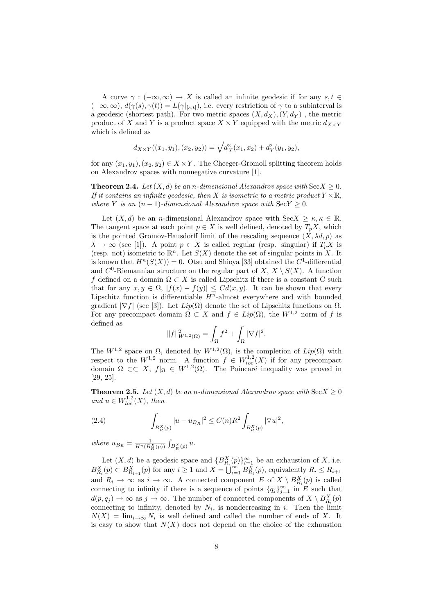A curve  $\gamma : (-\infty, \infty) \to X$  is called an infinite geodesic if for any  $s, t \in$  $(-\infty,\infty)$ ,  $d(\gamma(s),\gamma(t)) = L(\gamma|_{[s,t]})$ , i.e. every restriction of  $\gamma$  to a subinterval is a geodesic (shortest path). For two metric spaces  $(X, d_X), (Y, d_Y)$ , the metric product of X and Y is a product space  $X \times Y$  equipped with the metric  $d_{X \times Y}$ which is defined as

$$
d_{X\times Y}((x_1,y_1),(x_2,y_2))=\sqrt{d_X^2(x_1,x_2)+d_Y^2(y_1,y_2)},
$$

for any  $(x_1, y_1), (x_2, y_2) \in X \times Y$ . The Cheeger-Gromoll splitting theorem holds on Alexandrov spaces with nonnegative curvature [1].

**Theorem 2.4.** Let  $(X, d)$  be an n-dimensional Alexandrov space with  $\text{Sec } X \geq 0$ . If it contains an infinite geodesic, then X is isometric to a metric product  $Y \times \mathbb{R}$ , where Y is an  $(n-1)$ -dimensional Alexandrov space with  $\text{SecY} \geq 0$ .

Let  $(X, d)$  be an *n*-dimensional Alexandrov space with  $\text{Sec } X \geq \kappa, \kappa \in \mathbb{R}$ . The tangent space at each point  $p \in X$  is well defined, denoted by  $T_pX$ , which is the pointed Gromov-Hausdorff limit of the rescaling sequence  $(X, \lambda d, p)$  as  $\lambda \to \infty$  (see [1]). A point  $p \in X$  is called regular (resp. singular) if  $T_p X$  is (resp. not) isometric to  $\mathbb{R}^n$ . Let  $S(X)$  denote the set of singular points in X. It is known that  $H^n(S(X)) = 0$ . Otsu and Shioya [33] obtained the  $C^1$ -differential and  $C^0$ -Riemannian structure on the regular part of  $X, X \setminus S(X)$ . A function f defined on a domain  $\Omega \subset X$  is called Lipschitz if there is a constant C such that for any  $x, y \in \Omega$ ,  $|f(x) - f(y)| \leq C d(x, y)$ . It can be shown that every Lipschitz function is differentiable  $H<sup>n</sup>$ -almost everywhere and with bounded gradient  $|\nabla f|$  (see [3]). Let  $Lip(\Omega)$  denote the set of Lipschitz functions on  $\Omega$ . For any precompact domain  $\Omega \subset X$  and  $f \in Lip(\Omega)$ , the  $W^{1,2}$  norm of f is defined as

$$
||f||_{W^{1,2}(\Omega)}^2 = \int_{\Omega} f^2 + \int_{\Omega} |\nabla f|^2.
$$

The  $W^{1,2}$  space on  $\Omega$ , denoted by  $W^{1,2}(\Omega)$ , is the completion of  $Lip(\Omega)$  with respect to the  $W^{1,2}$  norm. A function  $f \in W^{1,2}_{loc}(X)$  if for any precompact domain  $\Omega \subset \subset X$ ,  $f|_{\Omega} \in W^{1,2}(\Omega)$ . The Poincaré inequality was proved in [29, 25].

**Theorem 2.5.** Let  $(X, d)$  be an n-dimensional Alexandrov space with  $SecX \geq 0$ and  $u \in W^{1,2}_{loc}(X)$ , then

(2.4) 
$$
\int_{B_R^X(p)} |u - u_{B_R}|^2 \leq C(n)R^2 \int_{B_R^X(p)} |\nabla u|^2,
$$

where  $u_{B_R} = \frac{1}{H^n(B_R^X(p))}$  $\overline{\phantom{a}}$  $B^X_R(p)\stackrel{u}{\cdot}$ 

Let  $(X, d)$  be a geodesic space and  ${B_{R_i}^X(p)}_{i=1}^{\infty}$  be an exhaustion of X, i.e.  $B_{R_i}^X(p) \subset B_{R_{i+1}}^X(p)$  for any  $i \geq 1$  and  $X = \bigcup_{i=1}^{\infty} B_{R_i}^X(p)$ , equivalently  $R_i \leq R_{i+1}$ and  $R_i \to \infty$  as  $i \to \infty$ . A connected component E of  $X \setminus B_{R_i}^X(p)$  is called connecting to infinity if there is a sequence of points  $\{q_j\}_{j=1}^{\infty}$  in E such that  $d(p, q_j) \to \infty$  as  $j \to \infty$ . The number of connected components of  $X \setminus B_{R_i}^X(p)$ connecting to infinity, denoted by  $N_i$ , is nondecreasing in i. Then the limit  $N(X) = \lim_{i \to \infty} N_i$  is well defined and called the number of ends of X. It is easy to show that  $N(X)$  does not depend on the choice of the exhaustion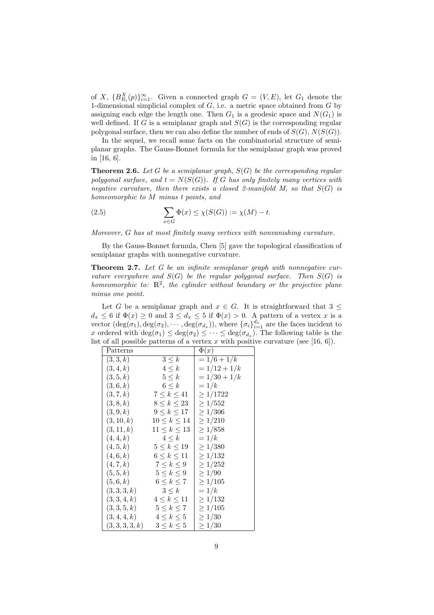of X,  ${B_{R_i}^X(p)}_{i=1}^{\infty}$ . Given a connected graph  $G = (V, E)$ , let  $G_1$  denote the 1-dimensional simplicial complex of  $G$ , i.e. a metric space obtained from  $G$  by assigning each edge the length one. Then  $G_1$  is a geodesic space and  $N(G_1)$  is well defined. If G is a semiplanar graph and  $S(G)$  is the corresponding regular polygonal surface, then we can also define the number of ends of  $S(G)$ ,  $N(S(G))$ .

In the sequel, we recall some facts on the combinatorial structure of semiplanar graphs. The Gauss-Bonnet formula for the semiplanar graph was proved in [16, 6].

**Theorem 2.6.** Let G be a semiplanar graph,  $S(G)$  be the corresponding regular polygonal surface, and  $t = N(S(G))$ . If G has only finitely many vertices with negative curvature, then there exists a closed 2-manifold  $M$ , so that  $S(G)$  is homeomorphic to M minus t points, and

(2.5) 
$$
\sum_{x \in G} \Phi(x) \leq \chi(S(G)) := \chi(M) - t.
$$

Moreover, G has at most finitely many vertices with nonvanishing curvature.

By the Gauss-Bonnet formula, Chen [5] gave the topological classification of semiplanar graphs with nonnegative curvature.

Theorem 2.7. Let G be an infinite semiplanar graph with nonnegative curvature everywhere and  $S(G)$  be the regular polygonal surface. Then  $S(G)$  is homeomorphic to:  $\mathbb{R}^2$ , the cylinder without boundary or the projective plane minus one point.

Let G be a semiplanar graph and  $x \in G$ . It is straightforward that  $3 \leq$  $d_x \leq 6$  if  $\Phi(x) \geq 0$  and  $3 \leq d_x \leq 5$  if  $\Phi(x) > 0$ . A pattern of a vertex x is a vector  $(\deg(\sigma_1), \deg(\sigma_2), \cdots, \deg(\sigma_{d_x}))$ , where  $\{\sigma_i\}_{i=1}^{d_x}$  are the faces incident to x ordered with  $\deg(\sigma_1) \leq \deg(\sigma_2) \leq \cdots \leq \deg(\sigma_{d_x})$ . The following table is the list of all possible patterns of a vertex x with positive curvature (see [16, 6]).

|             |                     | of an possible parrelles of a vertex $\omega$ when post |
|-------------|---------------------|---------------------------------------------------------|
| Patterns    |                     | $\Phi(x)$                                               |
| (3,3,k)     | $3\leq k$           | $= 1/6 + 1/k$                                           |
| (3,4,k)     | $4 \leq k$          | $=1/12+1/k$                                             |
| (3, 5, k)   | $5 \leq k$          | $= 1/30 + 1/k$                                          |
| (3,6,k)     | $6 \leq k$          | $=1/k$                                                  |
| (3, 7, k)   | $7 \leq k \leq 41$  | $\geq 1/1722$                                           |
| (3,8,k)     | $8 \leq k \leq 23$  | $\geq 1/552$                                            |
| (3,9,k)     | $9 \leq k \leq 17$  | $\geq 1/306$                                            |
| (3, 10, k)  | $10 \leq k \leq 14$ | $\geq 1/210$                                            |
| (3, 11, k)  | $11 \leq k \leq 13$ | $\geq 1/858$                                            |
| (4,4,k)     | $4 \leq k$          | $=1/k$                                                  |
| (4, 5, k)   | $5\leq k\leq 19$    | $\geq 1/380$                                            |
| (4,6,k)     | $6 \leq k \leq 11$  | $\geq 1/132$                                            |
| (4, 7, k)   | $7 \leq k \leq 9$   | $\geq 1/252$                                            |
| (5, 5, k)   | $5\leq k\leq 9$     | $\geq 1/90$                                             |
| (5,6,k)     | $6 \leq k \leq 7$   | $\geq 1/105$                                            |
| (3,3,3,k)   | $3\leq k$           | $=1/k$                                                  |
| (3,3,4,k)   | $4 \leq k \leq 11$  | $\geq 1/132$                                            |
| (3,3,5,k)   | $5 \leq k \leq 7$   | $\geq 1/105$                                            |
| (3,4,4,k)   | $4 \leq k \leq 5$   | $\geq 1/30$                                             |
| (3,3,3,3,k) | $3\leq k\leq 5$     | $\geq 1/30$                                             |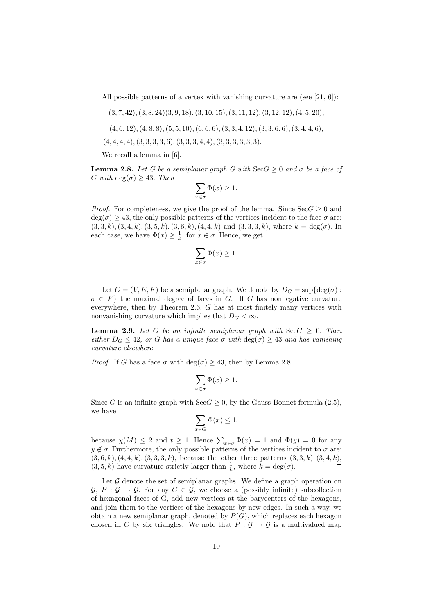All possible patterns of a vertex with vanishing curvature are (see [21, 6]):

- $(3, 7, 42), (3, 8, 24)(3, 9, 18), (3, 10, 15), (3, 11, 12), (3, 12, 12), (4, 5, 20),$
- $(4, 6, 12), (4, 8, 8), (5, 5, 10), (6, 6, 6), (3, 3, 4, 12), (3, 3, 6, 6), (3, 4, 4, 6),$
- $(4, 4, 4, 4), (3, 3, 3, 3, 6), (3, 3, 3, 4, 4), (3, 3, 3, 3, 3, 3).$

We recall a lemma in [6].

**Lemma 2.8.** Let G be a semiplanar graph G with  $\text{SecG} > 0$  and  $\sigma$  be a face of G with  $deg(\sigma) > 43$ . Then

$$
\sum_{x \in \sigma} \Phi(x) \ge 1.
$$

*Proof.* For completeness, we give the proof of the lemma. Since  $\text{Sec } G \geq 0$  and  $deg(\sigma) \geq 43$ , the only possible patterns of the vertices incident to the face  $\sigma$  are:  $(3,3,k), (3,4,k), (3,5,k), (3,6,k), (4,4,k) \text{ and } (3,3,3,k), \text{ where } k = \text{deg}(\sigma)$ . In each case, we have  $\Phi(x) \geq \frac{1}{k}$ , for  $x \in \sigma$ . Hence, we get

$$
\sum_{x \in \sigma} \Phi(x) \ge 1.
$$

Let  $G = (V, E, F)$  be a semiplanar graph. We denote by  $D_G = \sup \{ \deg(\sigma) :$  $\sigma \in F$  the maximal degree of faces in G. If G has nonnegative curvature everywhere, then by Theorem 2.6, G has at most finitely many vertices with nonvanishing curvature which implies that  $D_G < \infty$ .

**Lemma 2.9.** Let G be an infinite semiplanar graph with  $\text{SecG} \geq 0$ . Then either  $D_G \leq 42$ , or G has a unique face  $\sigma$  with  $\deg(\sigma) \geq 43$  and has vanishing curvature elsewhere.

*Proof.* If G has a face  $\sigma$  with  $deg(\sigma) \geq 43$ , then by Lemma 2.8

$$
\sum_{x \in \sigma} \Phi(x) \ge 1.
$$

Since G is an infinite graph with  $\text{Sec}G \geq 0$ , by the Gauss-Bonnet formula (2.5), we have

$$
\sum_{x \in G} \Phi(x) \le 1,
$$

because  $\chi(M) \leq 2$  and  $t \geq 1$ . Hence  $\sum_{x \in \sigma} \Phi(x) = 1$  and  $\Phi(y) = 0$  for any  $y \notin \sigma$ . Furthermore, the only possible patterns of the vertices incident to  $\sigma$  are:  $(3, 6, k), (4, 4, k), (3, 3, 3, k),$  because the other three patterns  $(3, 3, k), (3, 4, k),$  $(3, 5, k)$  have curvature strictly larger than  $\frac{1}{k}$ , where  $k = \deg(\sigma)$ .  $\Box$ 

Let  $\mathcal G$  denote the set of semiplanar graphs. We define a graph operation on  $\mathcal{G}, P : \mathcal{G} \to \mathcal{G}$ . For any  $G \in \mathcal{G}$ , we choose a (possibly infinite) subcollection of hexagonal faces of G, add new vertices at the barycenters of the hexagons, and join them to the vertices of the hexagons by new edges. In such a way, we obtain a new semiplanar graph, denoted by  $P(G)$ , which replaces each hexagon chosen in G by six triangles. We note that  $P : \mathcal{G} \to \mathcal{G}$  is a multivalued map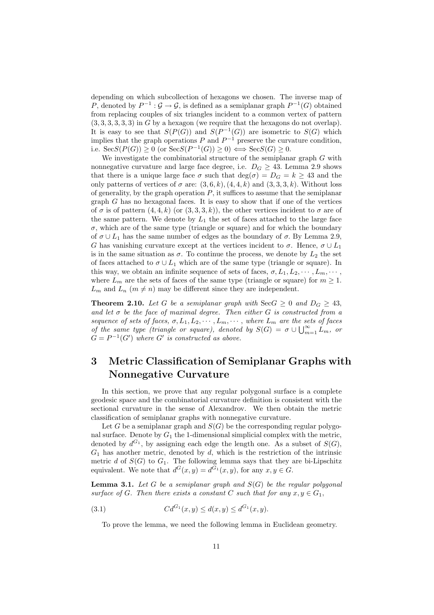depending on which subcollection of hexagons we chosen. The inverse map of P, denoted by  $P^{-1}: \mathcal{G} \to \mathcal{G}$ , is defined as a semiplanar graph  $P^{-1}(G)$  obtained from replacing couples of six triangles incident to a common vertex of pattern  $(3, 3, 3, 3, 3, 3)$  in G by a hexagon (we require that the hexagons do not overlap). It is easy to see that  $S(P(G))$  and  $S(P^{-1}(G))$  are isometric to  $S(G)$  which implies that the graph operations P and  $P^{-1}$  preserve the curvature condition, i.e.  $\operatorname{SecS}(P(G)) \ge 0$  (or  $\operatorname{SecS}(P^{-1}(G)) \ge 0$ )  $\Longleftrightarrow \operatorname{SecS}(G) \ge 0$ .

We investigate the combinatorial structure of the semiplanar graph  $G$  with nonnegative curvature and large face degree, i.e.  $D_G \geq 43$ . Lemma 2.9 shows that there is a unique large face  $\sigma$  such that  $\deg(\sigma) = D_G = k \geq 43$  and the only patterns of vertices of  $\sigma$  are:  $(3,6,k), (4,4,k)$  and  $(3,3,3,k)$ . Without loss of generality, by the graph operation  $P$ , it suffices to assume that the semiplanar graph  $G$  has no hexagonal faces. It is easy to show that if one of the vertices of  $\sigma$  is of pattern  $(4, 4, k)$  (or  $(3, 3, 3, k)$ ), the other vertices incident to  $\sigma$  are of the same pattern. We denote by  $L_1$  the set of faces attached to the large face  $\sigma$ , which are of the same type (triangle or square) and for which the boundary of  $\sigma \cup L_1$  has the same number of edges as the boundary of  $\sigma$ . By Lemma 2.9, G has vanishing curvature except at the vertices incident to  $\sigma$ . Hence,  $\sigma \cup L_1$ is in the same situation as  $\sigma$ . To continue the process, we denote by  $L_2$  the set of faces attached to  $\sigma \cup L_1$  which are of the same type (triangle or square). In this way, we obtain an infinite sequence of sets of faces,  $\sigma, L_1, L_2, \cdots, L_m, \cdots$ , where  $L_m$  are the sets of faces of the same type (triangle or square) for  $m \geq 1$ .  $L_m$  and  $L_n$  ( $m \neq n$ ) may be different since they are independent.

**Theorem 2.10.** Let G be a semiplanar graph with  $\text{Sec } G \geq 0$  and  $D_G \geq 43$ , and let  $\sigma$  be the face of maximal degree. Then either G is constructed from a sequence of sets of faces,  $\sigma, L_1, L_2, \cdots, L_m, \cdots$ , where  $L_m$  are the sets of faces of the same type (triangle or square), denoted by  $S(G) = \sigma \cup \bigcup_{m=1}^{\infty} L_m$ , or  $G = P^{-1}(G')$  where G' is constructed as above.

## 3 Metric Classification of Semiplanar Graphs with Nonnegative Curvature

In this section, we prove that any regular polygonal surface is a complete geodesic space and the combinatorial curvature definition is consistent with the sectional curvature in the sense of Alexandrov. We then obtain the metric classification of semiplanar graphs with nonnegative curvature.

Let G be a semiplanar graph and  $S(G)$  be the corresponding regular polygonal surface. Denote by  $G_1$  the 1-dimensional simplicial complex with the metric, denoted by  $d^{G_1}$ , by assigning each edge the length one. As a subset of  $S(G)$ ,  $G_1$  has another metric, denoted by d, which is the restriction of the intrinsic metric d of  $S(G)$  to  $G_1$ . The following lemma says that they are bi-Lipschitz equivalent. We note that  $d^G(x, y) = d^{G_1}(x, y)$ , for any  $x, y \in G$ .

**Lemma 3.1.** Let G be a semiplanar graph and  $S(G)$  be the regular polygonal surface of G. Then there exists a constant C such that for any  $x, y \in G_1$ ,

(3.1) 
$$
Cd^{G_1}(x,y) \le d(x,y) \le d^{G_1}(x,y).
$$

To prove the lemma, we need the following lemma in Euclidean geometry.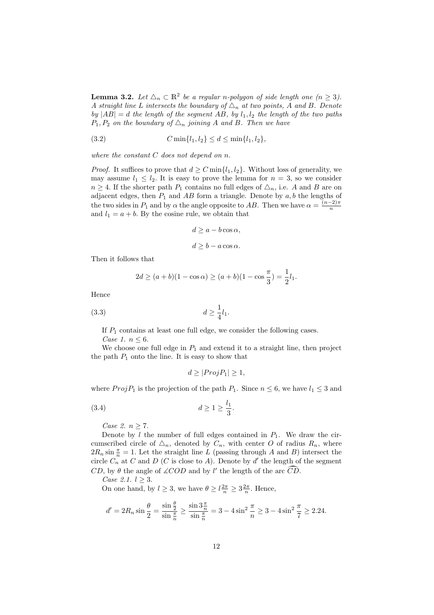**Lemma 3.2.** Let  $\Delta_n \subset \mathbb{R}^2$  be a regular n-polygon of side length one  $(n \geq 3)$ . A straight line L intersects the boundary of  $\Delta_n$  at two points, A and B. Denote by  $|AB| = d$  the length of the segment AB, by  $l_1, l_2$  the length of the two paths  $P_1, P_2$  on the boundary of  $\Delta_n$  joining A and B. Then we have

(3.2) 
$$
C \min\{l_1, l_2\} \le d \le \min\{l_1, l_2\},
$$

where the constant  $C$  does not depend on  $n$ .

*Proof.* It suffices to prove that  $d \geq C \min\{l_1, l_2\}$ . Without loss of generality, we may assume  $l_1 \leq l_2$ . It is easy to prove the lemma for  $n = 3$ , so we consider  $n \geq 4$ . If the shorter path  $P_1$  contains no full edges of  $\Delta_n$ , i.e. A and B are on adjacent edges, then  $P_1$  and AB form a triangle. Denote by  $a, b$  the lengths of the two sides in  $P_1$  and by  $\alpha$  the angle opposite to AB. Then we have  $\alpha = \frac{(n-2)\pi}{n}$ n and  $l_1 = a + b$ . By the cosine rule, we obtain that

$$
d \ge a - b \cos \alpha,
$$
  

$$
d \ge b - a \cos \alpha.
$$

Then it follows that

$$
2d \ge (a+b)(1-\cos \alpha) \ge (a+b)(1-\cos \frac{\pi}{3}) = \frac{1}{2}l_1.
$$

Hence

$$
(3.3) \t\t d \ge \frac{1}{4}l_1.
$$

If  $P_1$  contains at least one full edge, we consider the following cases. Case 1.  $n \leq 6$ .

We choose one full edge in  $P_1$  and extend it to a straight line, then project the path  $P_1$  onto the line. It is easy to show that

$$
d \ge |Proj P_1| \ge 1,
$$

where  $Proj P_1$  is the projection of the path  $P_1$ . Since  $n \leq 6$ , we have  $l_1 \leq 3$  and

$$
(3.4) \t\t d \ge 1 \ge \frac{l_1}{3}.
$$

Case 2.  $n \geq 7$ .

Denote by  $l$  the number of full edges contained in  $P_1$ . We draw the circumscribed circle of  $\Delta_n$ , denoted by  $C_n$ , with center O of radius  $R_n$ , where  $2R_n \sin \frac{\pi}{n} = 1$ . Let the straight line L (passing through A and B) intersect the circle  $C_n$ <sup>n</sup> at C and D (C is close to A). Denote by d' the length of the segment  $CD$ , by  $\theta$  the angle of  $\angle COD$  and by l' the length of the arc  $\widehat{CD}$ .

Case 2.1.  $l > 3$ .

On one hand, by  $l \geq 3$ , we have  $\theta \geq l \frac{2\pi}{n} \geq 3 \frac{2\pi}{n}$ . Hence,

$$
d' = 2R_n \sin \frac{\theta}{2} = \frac{\sin \frac{\theta}{2}}{\sin \frac{\pi}{n}} \ge \frac{\sin 3\frac{\pi}{n}}{\sin \frac{\pi}{n}} = 3 - 4\sin^2 \frac{\pi}{n} \ge 3 - 4\sin^2 \frac{\pi}{7} \ge 2.24.
$$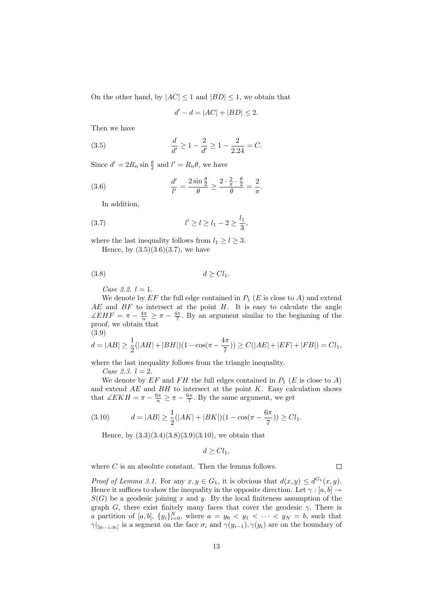On the other hand, by  $|AC| \leq 1$  and  $|BD| \leq 1$ , we obtain that

$$
d'-d = |AC| + |BD| \le 2.
$$

.

Then we have

(3.5) 
$$
\frac{d}{d'} \ge 1 - \frac{2}{d'} \ge 1 - \frac{2}{2.24} = C.
$$

Since  $d' = 2R_n \sin \frac{\theta}{2}$  and  $l' = R_n \theta$ , we have

(3.6) 
$$
\frac{d'}{l'} = \frac{2\sin\frac{\theta}{2}}{\theta} \ge \frac{2\cdot\frac{2}{\pi}\cdot\frac{\theta}{2}}{\theta} = \frac{2}{\pi}
$$

In addition,

(3.7) 
$$
l' \ge l \ge l_1 - 2 \ge \frac{l_1}{3},
$$

where the last inequality follows from  $l_1 \geq l \geq 3$ . Hence, by  $(3.5)(3.6)(3.7)$ , we have

$$
(3.8) \t\t d \geq Cl_1.
$$

Case 2.2.  $l = 1$ .

We denote by  $EF$  the full edge contained in  $P_1$  (E is close to A) and extend  $AE$  and  $BF$  to intersect at the point  $H$ . It is easy to calculate the angle  $\angle EHF = \pi - \frac{4\pi}{n} \geq \pi - \frac{4\pi}{7}$ . By an argument similar to the beginning of the proof, we obtain that (3.9)

$$
d = |AB| \ge \frac{1}{2}(|AH| + |BH|)(1 - \cos(\pi - \frac{4\pi}{7})) \ge C(|AE| + |EF| + |FB|) = Cl_1,
$$

where the last inequality follows from the triangle inequality.

Case 2.3.  $l = 2$ .

We denote by  $EF$  and  $FH$  the full edges contained in  $P_1$  (E is close to A) and extend  $AE$  and  $BH$  to intersect at the point  $K$ . Easy calculation shows that  $\angle EKH = \pi - \frac{6\pi}{n} \geq \pi - \frac{6\pi}{7}$ . By the same argument, we get

(3.10) 
$$
d = |AB| \ge \frac{1}{2}(|AK| + |BK|)(1 - \cos(\pi - \frac{6\pi}{7})) \ge Cl_1.
$$

Hence, by  $(3.3)(3.4)(3.8)(3.9)(3.10)$ , we obtain that

$$
d \geq Cl_1,
$$

where  $C$  is an absolute constant. Then the lemma follows.

*Proof of Lemma 3.1.* For any  $x, y \in G_1$ , it is obvious that  $d(x, y) \leq d^{G_1}(x, y)$ . Hence it suffices to show the inequality in the opposite direction. Let  $\gamma : [a, b] \rightarrow$  $S(G)$  be a geodesic joining x and y. By the local finiteness assumption of the graph G, there exist finitely many faces that cover the geodesic  $\gamma$ . There is a partition of  $[a, b]$ ,  $\{y_i\}_{i=0}^N$ , where  $a = y_0 < y_1 < \cdots < y_N = b$ , such that  $\gamma|_{[y_{i-1},y_i]}$  is a segment on the face  $\sigma_i$  and  $\gamma(y_{i-1}), \gamma(y_i)$  are on the boundary of

 $\Box$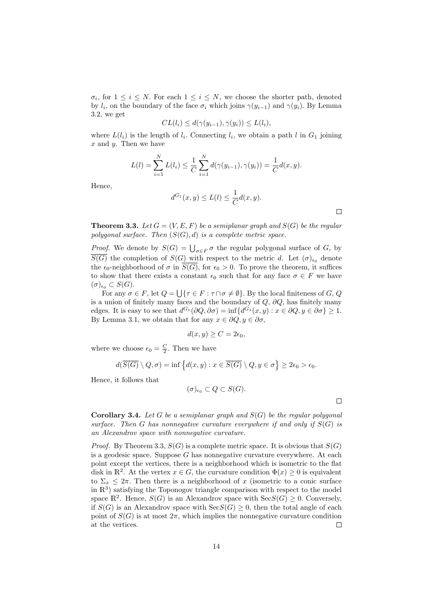$\sigma_i$ , for  $1 \leq i \leq N$ . For each  $1 \leq i \leq N$ , we choose the shorter path, denoted by  $l_i$ , on the boundary of the face  $\sigma_i$  which joins  $\gamma(y_{i-1})$  and  $\gamma(y_i)$ . By Lemma 3.2, we get

$$
CL(l_i) \le d(\gamma(y_{i-1}), \gamma(y_i)) \le L(l_i),
$$

where  $L(l_i)$  is the length of  $l_i$ . Connecting  $l_i$ , we obtain a path l in  $G_1$  joining  $x$  and  $y$ . Then we have

$$
L(l) = \sum_{i=1}^{N} L(l_i) \leq \frac{1}{C} \sum_{i=1}^{N} d(\gamma(y_{i-1}), \gamma(y_i)) = \frac{1}{C} d(x, y).
$$

Hence,

$$
d^{G_1}(x,y) \le L(l) \le \frac{1}{C}d(x,y).
$$

**Theorem 3.3.** Let  $G = (V, E, F)$  be a semiplanar graph and  $S(G)$  be the regular polygonal surface. Then  $(S(G), d)$  is a complete metric space.

*Proof.* We denote by  $S(G) = \bigcup_{\sigma \in F} \sigma$  the regular polygonal surface of G, by  $\overline{S(G)}$  the completion of  $S(G)$  with respect to the metric d. Let  $(\sigma)_{\epsilon_0}$  denote the  $\epsilon_0$ -neighborhood of  $\sigma$  in  $\overline{S(G)}$ , for  $\epsilon_0 > 0$ . To prove the theorem, it suffices to show that there exists a constant  $\epsilon_0$  such that for any face  $\sigma \in F$  we have  $(\sigma)_{\epsilon_0} \subset S(G).$ 

For any  $\sigma \in F$ , let  $Q = \bigcup \{\tau \in F : \tau \cap \sigma \neq \emptyset\}$ . By the local finiteness of  $G, Q$ is a union of finitely many faces and the boundary of  $Q$ ,  $\partial Q$ , has finitely many edges. It is easy to see that  $d^{G_1}(\partial Q, \partial \sigma) = \inf \{ d^{G_1}(x, y) : x \in \partial Q, y \in \partial \sigma \} \ge 1$ . By Lemma 3.1, we obtain that for any  $x \in \partial Q, y \in \partial \sigma$ ,

$$
d(x, y) \ge C = 2\epsilon_0,
$$

where we choose  $\epsilon_0 = \frac{C}{2}$ . Then we have

$$
d(\overline{S(G)} \setminus Q, \sigma) = \inf \left\{ d(x, y) : x \in \overline{S(G)} \setminus Q, y \in \sigma \right\} \ge 2\epsilon_0 > \epsilon_0.
$$

Hence, it follows that

$$
(\sigma)_{\epsilon_0} \subset Q \subset S(G).
$$

 $\Box$ 

 $\Box$ 

**Corollary 3.4.** Let G be a semiplanar graph and  $S(G)$  be the regular polygonal surface. Then G has nonnegative curvature everywhere if and only if  $S(G)$  is an Alexandrov space with nonnegative curvature.

*Proof.* By Theorem 3.3,  $S(G)$  is a complete metric space. It is obvious that  $S(G)$ is a geodesic space. Suppose  $G$  has nonnegative curvature everywhere. At each point except the vertices, there is a neighborhood which is isometric to the flat disk in  $\mathbb{R}^2$ . At the vertex  $x \in G$ , the curvature condition  $\Phi(x) \geq 0$  is equivalent to  $\Sigma_x \leq 2\pi$ . Then there is a neighborhood of x (isometric to a conic surface in  $\mathbb{R}^3$ ) satisfying the Toponogov triangle comparison with respect to the model space  $\mathbb{R}^2$ . Hence,  $S(G)$  is an Alexandrov space with  $\text{Sec}(G) \geq 0$ . Conversely, if  $S(G)$  is an Alexandrov space with  $SecS(G) \geq 0$ , then the total angle of each point of  $S(G)$  is at most  $2\pi$ , which implies the nonnegative curvature condition at the vertices.  $\Box$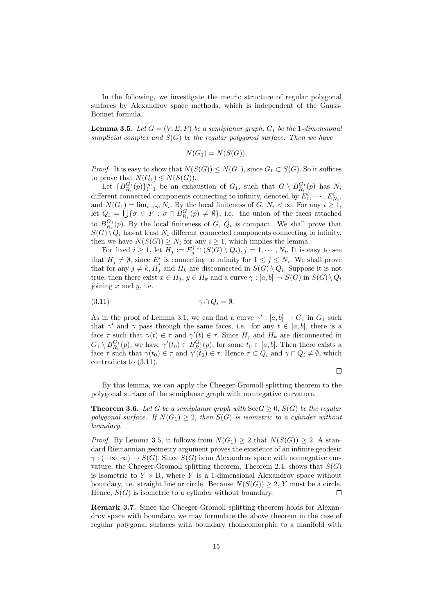In the following, we investigate the metric structure of regular polygonal surfaces by Alexandrov space methods, which is independent of the Gauss-Bonnet formula.

**Lemma 3.5.** Let  $G = (V, E, F)$  be a semiplanar graph,  $G_1$  be the 1-dimensional simplicial complex and  $S(G)$  be the regular polygonal surface. Then we have

$$
N(G_1) = N(S(G)).
$$

*Proof.* It is easy to show that  $N(S(G)) \leq N(G_1)$ , since  $G_1 \subset S(G)$ . So it suffices to prove that  $N(G_1) \leq N(S(G)).$ 

Let  ${B}_{R_i}^{G_1}(p)$   $\}_{i=1}^{\infty}$  be an exhaustion of  $G_1$ , such that  $G \setminus B_{R_i}^{G_1}(p)$  has  $N_i$ different connected components connecting to infinity, denoted by  $E_1^i, \cdots, E_{N_i}^i$ , and  $N(G_1) = \lim_{i \to \infty} N_i$ . By the local finiteness of  $G, N_i < \infty$ . For any  $i \geq 1$ , let  $Q_i = \bigcup \{ \sigma \in F : \sigma \cap B_{R_i}^{G_1}(p) \neq \emptyset \}$ , i.e. the union of the faces attached to  $B_{R_i}^{G_1}(p)$ . By the local finiteness of G,  $Q_i$  is compact. We shall prove that  $S(G) \setminus Q_i$  has at least  $N_i$  different connected components connecting to infinity, then we have  $N(S(G)) \geq N_i$  for any  $i \geq 1$ , which implies the lemma.

For fixed  $i \geq 1$ , let  $H_j := E_j^i \cap (S(G) \setminus Q_i), j = 1, \cdots, N_i$ . It is easy to see that  $H_j \neq \emptyset$ , since  $E_j^i$  is connecting to infinity for  $1 \leq j \leq N_i$ . We shall prove that for any  $j \neq k$ ,  $H_j$  and  $H_k$  are disconnected in  $S(G) \setminus Q_i$ . Suppose it is not true, then there exist  $x \in H_j$ ,  $y \in H_k$  and a curve  $\gamma : [a, b] \to S(G)$  in  $S(G) \setminus Q_i$ joining  $x$  and  $y$ , i.e.

$$
\gamma \cap Q_i = \emptyset.
$$

As in the proof of Lemma 3.1, we can find a curve  $\gamma' : [a, b] \to G_1$  in  $G_1$  such that  $\gamma'$  and  $\gamma$  pass through the same faces, i.e. for any  $t \in [a, b]$ , there is a face  $\tau$  such that  $\gamma(t) \in \tau$  and  $\gamma'(t) \in \tau$ . Since  $H_j$  and  $H_k$  are disconnected in  $G_1 \setminus B_{R_i}^{G_1}(p)$ , we have  $\gamma'(t_0) \in B_{R_i}^{G_1}(p)$ , for some  $t_0 \in [a, b]$ . Then there exists a face  $\tau$  such that  $\gamma(t_0) \in \tau$  and  $\gamma'(t_0) \in \tau$ . Hence  $\tau \subset Q_i$  and  $\gamma \cap Q_i \neq \emptyset$ , which contradicts to (3.11).

 $\Box$ 

By this lemma, we can apply the Cheeger-Gromoll splitting theorem to the polygonal surface of the semiplanar graph with nonnegative curvature.

**Theorem 3.6.** Let G be a semiplanar graph with  $\text{Sec } G \geq 0$ ,  $S(G)$  be the regular polygonal surface. If  $N(G_1) \geq 2$ , then  $S(G)$  is isometric to a cylinder without boundary.

*Proof.* By Lemma 3.5, it follows from  $N(G_1) > 2$  that  $N(S(G)) > 2$ . A standard Riemannian geometry argument proves the existence of an infinite geodesic  $\gamma : (-\infty, \infty) \to S(G)$ . Since  $S(G)$  is an Alexandrov space with nonnegative curvature, the Cheeger-Gromoll splitting theorem, Theorem 2.4, shows that  $S(G)$ is isometric to  $Y \times \mathbb{R}$ , where Y is a 1-dimensional Alexandrov space without boundary, i.e. straight line or circle. Because  $N(S(G)) \geq 2$ , Y must be a circle. Hence,  $S(G)$  is isometric to a cylinder without boundary.  $\Box$ 

Remark 3.7. Since the Cheeger-Gromoll splitting theorem holds for Alexandrov space with boundary, we may formulate the above theorem in the case of regular polygonal surfaces with boundary (homeomorphic to a manifold with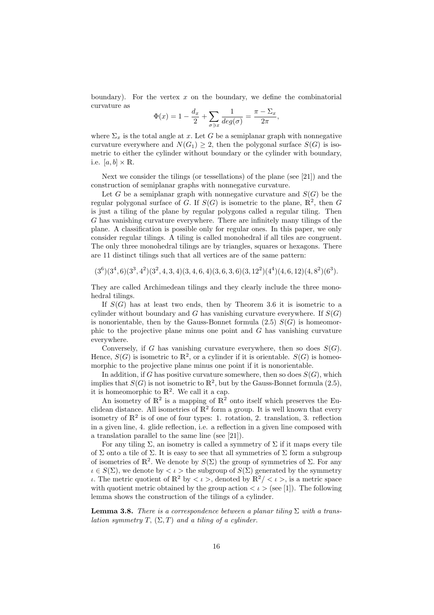boundary). For the vertex  $x$  on the boundary, we define the combinatorial curvature as

$$
\Phi(x) = 1 - \frac{d_x}{2} + \sum_{\sigma \ni x} \frac{1}{deg(\sigma)} = \frac{\pi - \Sigma_x}{2\pi},
$$

where  $\Sigma_x$  is the total angle at x. Let G be a semiplanar graph with nonnegative curvature everywhere and  $N(G_1) \geq 2$ , then the polygonal surface  $S(G)$  is isometric to either the cylinder without boundary or the cylinder with boundary, i.e.  $[a, b] \times \mathbb{R}$ .

Next we consider the tilings (or tessellations) of the plane (see [21]) and the construction of semiplanar graphs with nonnegative curvature.

Let G be a semiplanar graph with nonnegative curvature and  $S(G)$  be the regular polygonal surface of G. If  $S(G)$  is isometric to the plane,  $\mathbb{R}^2$ , then G is just a tiling of the plane by regular polygons called a regular tiling. Then G has vanishing curvature everywhere. There are infinitely many tilings of the plane. A classification is possible only for regular ones. In this paper, we only consider regular tilings. A tiling is called monohedral if all tiles are congruent. The only three monohedral tilings are by triangles, squares or hexagons. There are 11 distinct tilings such that all vertices are of the same pattern:

 $(3^6)(3^4,6)(3^3,4^2)(3^2,4,3,4)(3,4,6,4)(3,6,3,6)(3,12^2)(4^4)(4,6,12)(4,8^2)(6^3).$ 

They are called Archimedean tilings and they clearly include the three monohedral tilings.

If  $S(G)$  has at least two ends, then by Theorem 3.6 it is isometric to a cylinder without boundary and G has vanishing curvature everywhere. If  $S(G)$ is nonorientable, then by the Gauss-Bonnet formula  $(2.5)$   $S(G)$  is homeomorphic to the projective plane minus one point and G has vanishing curvature everywhere.

Conversely, if G has vanishing curvature everywhere, then so does  $S(G)$ . Hence,  $S(G)$  is isometric to  $\mathbb{R}^2$ , or a cylinder if it is orientable.  $S(G)$  is homeomorphic to the projective plane minus one point if it is nonorientable.

In addition, if G has positive curvature somewhere, then so does  $S(G)$ , which implies that  $S(G)$  is not isometric to  $\mathbb{R}^2$ , but by the Gauss-Bonnet formula (2.5), it is homeomorphic to  $\mathbb{R}^2$ . We call it a cap.

An isometry of  $\mathbb{R}^2$  is a mapping of  $\mathbb{R}^2$  onto itself which preserves the Euclidean distance. All isometries of  $\mathbb{R}^2$  form a group. It is well known that every isometry of  $\mathbb{R}^2$  is of one of four types: 1. rotation, 2. translation, 3. reflection in a given line, 4. glide reflection, i.e. a reflection in a given line composed with a translation parallel to the same line (see [21]).

For any tiling  $\Sigma$ , an isometry is called a symmetry of  $\Sigma$  if it maps every tile of  $\Sigma$  onto a tile of  $\Sigma$ . It is easy to see that all symmetries of  $\Sigma$  form a subgroup of isometries of  $\mathbb{R}^2$ . We denote by  $S(\Sigma)$  the group of symmetries of  $\Sigma$ . For any  $\iota \in S(\Sigma)$ , we denote by  $\langle \iota \rangle$  the subgroup of  $S(\Sigma)$  generated by the symmetry ι. The metric quotient of  $\mathbb{R}^2$  by  $\lt$  ι >, denoted by  $\mathbb{R}^2$  /  $\lt$  ι >, is a metric space with quotient metric obtained by the group action  $\langle \iota \rangle$  (see [1]). The following lemma shows the construction of the tilings of a cylinder.

**Lemma 3.8.** There is a correspondence between a planar tiling  $\Sigma$  with a translation symmetry T,  $(\Sigma, T)$  and a tiling of a cylinder.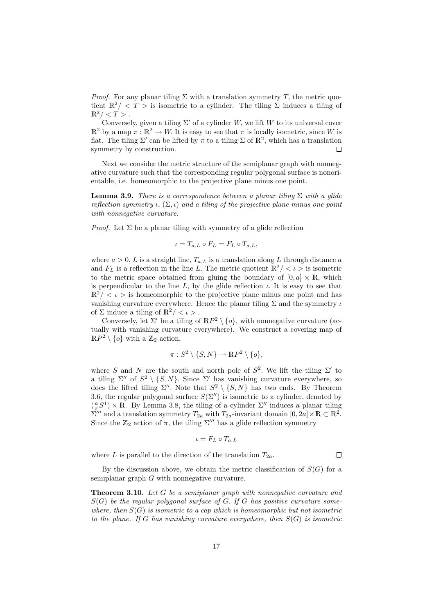*Proof.* For any planar tiling  $\Sigma$  with a translation symmetry T, the metric quotient  $\mathbb{R}^2 / \langle T \rangle$  is isometric to a cylinder. The tiling  $\Sigma$  induces a tiling of  $\mathbb{R}^2 / < T >$ .

Conversely, given a tiling  $\Sigma'$  of a cylinder W, we lift W to its universal cover  $\mathbb{R}^2$  by a map  $\pi : \mathbb{R}^2 \to W$ . It is easy to see that  $\pi$  is locally isometric, since W is flat. The tiling  $\Sigma'$  can be lifted by  $\pi$  to a tiling  $\Sigma$  of  $\mathbb{R}^2$ , which has a translation symmetry by construction.  $\Box$ 

Next we consider the metric structure of the semiplanar graph with nonnegative curvature such that the corresponding regular polygonal surface is nonorientable, i.e. homeomorphic to the projective plane minus one point.

**Lemma 3.9.** There is a correspondence between a planar tiling  $\Sigma$  with a glide reflection symmetry  $\iota$ ,  $(\Sigma, \iota)$  and a tiling of the projective plane minus one point with nonnegative curvature.

*Proof.* Let  $\Sigma$  be a planar tiling with symmetry of a glide reflection

$$
\iota = T_{a,L} \circ F_L = F_L \circ T_{a,L},
$$

where  $a > 0$ , L is a straight line,  $T_{a,L}$  is a translation along L through distance a and  $F<sub>L</sub>$  is a reflection in the line L. The metric quotient  $\mathbb{R}^2 / \langle \ell \rangle$  is isometric to the metric space obtained from gluing the boundary of  $[0, a] \times \mathbb{R}$ , which is perpendicular to the line L, by the glide reflection  $\iota$ . It is easy to see that  $\mathbb{R}^2 / \langle \ell \rangle$  is homeomorphic to the projective plane minus one point and has vanishing curvature everywhere. Hence the planar tiling  $\Sigma$  and the symmetry  $\iota$ of  $\Sigma$  induce a tiling of  $\mathbb{R}^2 / \langle \iota \rangle$ .

Conversely, let  $\Sigma'$  be a tiling of  $\mathbb{R}P^2 \setminus \{o\}$ , with nonnegative curvature (actually with vanishing curvature everywhere). We construct a covering map of  $\mathbb{R}P^2 \setminus \{o\}$  with a  $\mathbb{Z}_2$  action,

$$
\pi: S^2 \setminus \{S, N\} \to \mathbb{R}P^2 \setminus \{o\},\
$$

where S and N are the south and north pole of  $S^2$ . We lift the tiling  $\Sigma'$  to a tiling  $\Sigma''$  of  $S^2 \setminus \{S, N\}$ . Since  $\Sigma'$  has vanishing curvature everywhere, so does the lifted tiling  $\Sigma''$ . Note that  $S^2 \setminus \{S, N\}$  has two ends. By Theorem 3.6, the regular polygonal surface  $S(\Sigma'')$  is isometric to a cylinder, denoted by  $(\frac{a}{\pi}S^1) \times \mathbb{R}$ . By Lemma 3.8, the tiling of a cylinder  $\Sigma''$  induces a planar tiling  $\sum_{\substack{n=0 \ n \text{ odd}}}$  and a translation symmetry  $T_{2a}$  with  $T_{2a}$ -invariant domain  $[0, 2a] \times \mathbb{R} \subset \mathbb{R}^2$ . Since the  $\mathbb{Z}_2$  action of  $\pi$ , the tiling  $\Sigma'''$  has a glide reflection symmetry

$$
\iota = F_L \circ T_{a,L}
$$

where L is parallel to the direction of the translation  $T_{2a}$ .

 $\Box$ 

By the discussion above, we obtain the metric classification of  $S(G)$  for a semiplanar graph G with nonnegative curvature.

Theorem 3.10. Let G be a semiplanar graph with nonnegative curvature and  $S(G)$  be the regular polygonal surface of G. If G has positive curvature somewhere, then  $S(G)$  is isometric to a cap which is homeomorphic but not isometric to the plane. If G has vanishing curvature everywhere, then  $S(G)$  is isometric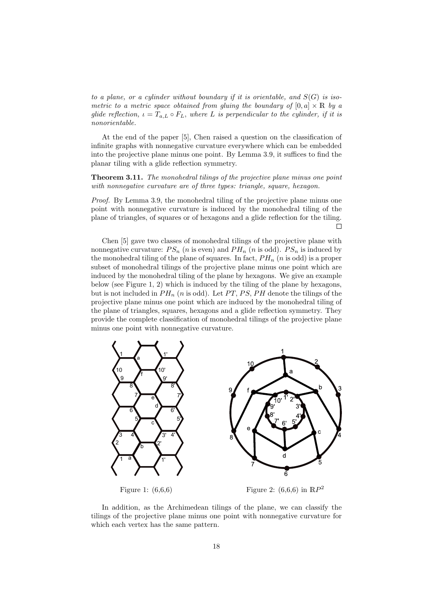to a plane, or a cylinder without boundary if it is orientable, and  $S(G)$  is isometric to a metric space obtained from gluing the boundary of  $[0, a] \times \mathbb{R}$  by a glide reflection,  $\iota = T_{a,L} \circ F_L$ , where L is perpendicular to the cylinder, if it is nonorientable.

At the end of the paper [5], Chen raised a question on the classification of infinite graphs with nonnegative curvature everywhere which can be embedded into the projective plane minus one point. By Lemma 3.9, it suffices to find the planar tiling with a glide reflection symmetry.

Theorem 3.11. The monohedral tilings of the projective plane minus one point with nonnegative curvature are of three types: triangle, square, hexagon.

Proof. By Lemma 3.9, the monohedral tiling of the projective plane minus one point with nonnegative curvature is induced by the monohedral tiling of the plane of triangles, of squares or of hexagons and a glide reflection for the tiling.  $\Box$ 

Chen [5] gave two classes of monohedral tilings of the projective plane with nonnegative curvature:  $PS_n$  (*n* is even) and  $PH_n$  (*n* is odd).  $PS_n$  is induced by the monohedral tiling of the plane of squares. In fact,  $PH_n$  (*n* is odd) is a proper subset of monohedral tilings of the projective plane minus one point which are induced by the monohedral tiling of the plane by hexagons. We give an example below (see Figure 1, 2) which is induced by the tiling of the plane by hexagons, but is not included in  $PH_n$  (*n* is odd). Let PT, PS, PH denote the tilings of the projective plane minus one point which are induced by the monohedral tiling of the plane of triangles, squares, hexagons and a glide reflection symmetry. They provide the complete classification of monohedral tilings of the projective plane minus one point with nonnegative curvature.



In addition, as the Archimedean tilings of the plane, we can classify the tilings of the projective plane minus one point with nonnegative curvature for which each vertex has the same pattern.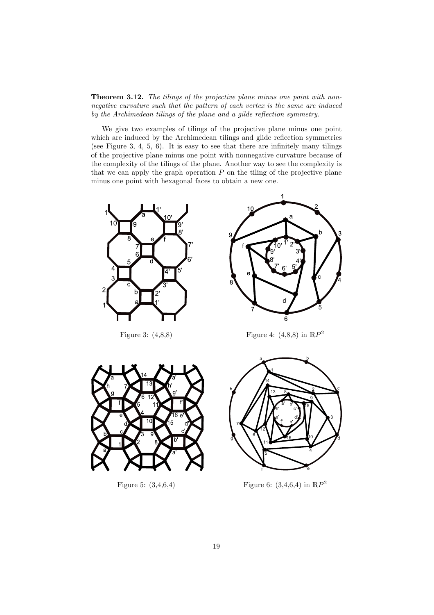Theorem 3.12. The tilings of the projective plane minus one point with nonnegative curvature such that the pattern of each vertex is the same are induced by the Archimedean tilings of the plane and a gilde reflection symmetry.

We give two examples of tilings of the projective plane minus one point which are induced by the Archimedean tilings and glide reflection symmetries (see Figure 3, 4, 5, 6). It is easy to see that there are infinitely many tilings of the projective plane minus one point with nonnegative curvature because of the complexity of the tilings of the plane. Another way to see the complexity is that we can apply the graph operation  $P$  on the tiling of the projective plane minus one point with hexagonal faces to obtain a new one.





Figure 3:  $(4,8,8)$  Figure 4:  $(4,8,8)$  in  $\mathbb{R}P^2$ 



Figure 5: (3,4,6,4)



Figure 6:  $(3,4,6,4)$  in  $\mathbb{R}P^2$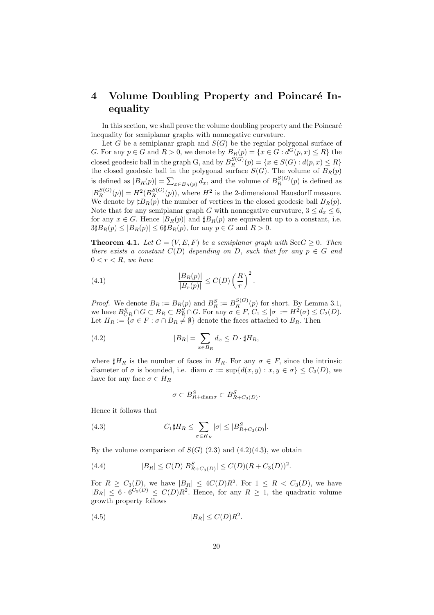# 4 Volume Doubling Property and Poincaré Inequality

In this section, we shall prove the volume doubling property and the Poincaré inequality for semiplanar graphs with nonnegative curvature.

Let G be a semiplanar graph and  $S(G)$  be the regular polygonal surface of G. For any  $p \in G$  and  $R > 0$ , we denote by  $B_R(p) = \{x \in G : d^G(p, x) \le R\}$  the closed geodesic ball in the graph G, and by  $B_R^{S(G)}(p) = \{x \in S(G) : d(p,x) \leq R\}$ the closed geodesic ball in the polygonal surface  $S(G)$ . The volume of  $B_R(p)$ is defined as  $|B_R(p)| = \sum_{x \in B_R(p)} d_x$ , and the volume of  $B_R^{S(G)}(p)$  is defined as  $|B_R^{S(G)}(p)| = H^2(B_R^{S(G)}(p))$ , where  $H^2$  is the 2-dimensional Hausdorff measure. We denote by  $\sharp B_R(p)$  the number of vertices in the closed geodesic ball  $B_R(p)$ . Note that for any semiplanar graph G with nonnegative curvature,  $3 \leq d_x \leq 6$ , for any  $x \in G$ . Hence  $|B_R(p)|$  and  $\sharp B_R(p)$  are equivalent up to a constant, i.e.  $3\sharp B_R(p) \leq |B_R(p)| \leq 6\sharp B_R(p)$ , for any  $p \in G$  and  $R > 0$ .

**Theorem 4.1.** Let  $G = (V, E, F)$  be a semiplanar graph with  $\text{Sec } G \geq 0$ . Then there exists a constant  $C(D)$  depending on D, such that for any  $p \in G$  and  $0 < r < R$ , we have

(4.1) 
$$
\frac{|B_R(p)|}{|B_r(p)|} \leq C(D) \left(\frac{R}{r}\right)^2.
$$

*Proof.* We denote  $B_R := B_R(p)$  and  $B_R^S := B_R^{S(G)}(p)$  for short. By Lemma 3.1, we have  $B_{CR}^S \cap G \subset B_R \subset B_R^S \cap G$ . For any  $\sigma \in F$ ,  $C_1 \leq |\sigma| := H^2(\sigma) \leq C_2(D)$ . Let  $H_R := \{ \sigma \in F : \sigma \cap B_R \neq \emptyset \}$  denote the faces attached to  $B_R$ . Then

(4.2) 
$$
|B_R| = \sum_{x \in B_R} d_x \le D \cdot \sharp H_R,
$$

where  $\sharp H_R$  is the number of faces in  $H_R$ . For any  $\sigma \in F$ , since the intrinsic diameter of  $\sigma$  is bounded, i.e. diam  $\sigma := \sup\{d(x, y) : x, y \in \sigma\} \leq C_3(D)$ , we have for any face  $\sigma \in H_R$ 

$$
\sigma \subset B_{R+\text{diam}\sigma}^S \subset B_{R+C_3(D)}^S.
$$

Hence it follows that

(4.3) 
$$
C_1 \sharp H_R \leq \sum_{\sigma \in H_R} |\sigma| \leq |B_{R+C_3(D)}^S|.
$$

By the volume comparison of  $S(G)$  (2.3) and (4.2)(4.3), we obtain

(4.4) 
$$
|B_R| \le C(D)|B_{R+C_3(D)}^S| \le C(D)(R+C_3(D))^2.
$$

For  $R \geq C_3(D)$ , we have  $|B_R| \leq 4C(D)R^2$ . For  $1 \leq R \lt C_3(D)$ , we have  $|B_R| \leq 6 \cdot 6^{C_3(D)} \leq C(D)R^2$ . Hence, for any  $R \geq 1$ , the quadratic volume growth property follows

$$
(4.5) \t\t |B_R| \le C(D)R^2.
$$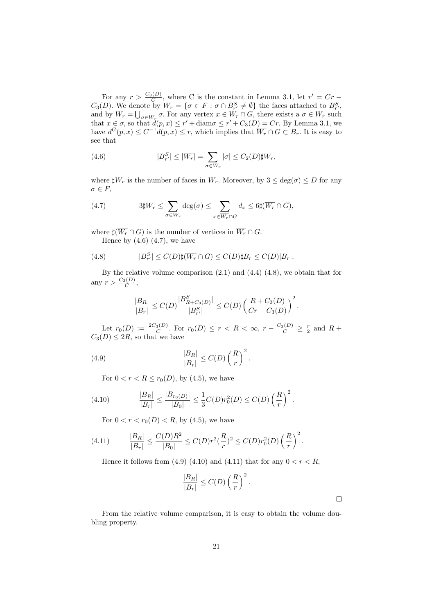For any  $r > \frac{C_3(D)}{C}$ , where C is the constant in Lemma 3.1, let  $r' = Cr C_3(D)$ . We denote by  $W_r = \{ \sigma \in F : \sigma \cap B^S_{r'} \neq \emptyset \}$  the faces attached to  $B^S_{r'}$ , and by  $\overline{W_r} = \bigcup_{\sigma \in W_r} \sigma$ . For any vertex  $x \in \overline{W_r} \cap G$ , there exists a  $\sigma \in W_r$  such that  $x \in \sigma$ , so that  $d(p, x) \leq r' + \text{diam }\sigma \leq r' + C_3(D) = Cr$ . By Lemma 3.1, we have  $d^G(p,x) \leq C^{-1}d(p,x) \leq r$ , which implies that  $\overline{W_r} \cap G \subset B_r$ . It is easy to see that

(4.6) 
$$
|B_{r'}^S| \leq |\overline{W_r}| = \sum_{\sigma \in W_r} |\sigma| \leq C_2(D)\sharp W_r,
$$

where  $\sharp W_r$  is the number of faces in  $W_r$ . Moreover, by  $3 \le \deg(\sigma) \le D$  for any  $\sigma \in F$ ,

(4.7) 
$$
3\sharp W_r \leq \sum_{\sigma \in W_r} \deg(\sigma) \leq \sum_{x \in \overline{W_r} \cap G} d_x \leq 6\sharp (\overline{W_r} \cap G),
$$

where  $\sharp(\overline{W_r} \cap G)$  is the number of vertices in  $\overline{W_r} \cap G$ . Hence by  $(4.6)$   $(4.7)$ , we have

(4.8) 
$$
|B^S_{r'}| \leq C(D)\sharp(\overline{W_r} \cap G) \leq C(D)\sharp B_r \leq C(D)|B_r|.
$$

By the relative volume comparison (2.1) and (4.4) (4.8), we obtain that for any  $r > \frac{C_3(D)}{C}$ ,

$$
\frac{|B_R|}{|B_r|} \leq C(D) \frac{|B^S_{R+C_3(D)}|}{|B^S_{r'}|} \leq C(D) \left(\frac{R+C_3(D)}{Cr-C_3(D)}\right)^2.
$$

Let  $r_0(D) := \frac{2C_3(D)}{C}$ . For  $r_0(D) \le r < R < \infty$ ,  $r - \frac{C_3(D)}{C} \ge \frac{r}{2}$  and  $R +$  $C_3(D) \leq 2R$ , so that we have

(4.9) 
$$
\frac{|B_R|}{|B_r|} \leq C(D) \left(\frac{R}{r}\right)^2.
$$

For  $0 < r < R \le r_0(D)$ , by (4.5), we have

(4.10) 
$$
\frac{|B_R|}{|B_r|} \le \frac{|B_{r_0(D)}|}{|B_0|} \le \frac{1}{3}C(D)r_0^2(D) \le C(D)\left(\frac{R}{r}\right)^2.
$$

For  $0 < r < r_0(D) < R$ , by (4.5), we have

(4.11) 
$$
\frac{|B_R|}{|B_r|} \le \frac{C(D)R^2}{|B_0|} \le C(D)r^2(\frac{R}{r})^2 \le C(D)r_0^2(D)\left(\frac{R}{r}\right)^2.
$$

Hence it follows from (4.9) (4.10) and (4.11) that for any  $0 < r < R$ ,

$$
\frac{|B_R|}{|B_r|} \le C(D) \left(\frac{R}{r}\right)^2.
$$

From the relative volume comparison, it is easy to obtain the volume doubling property.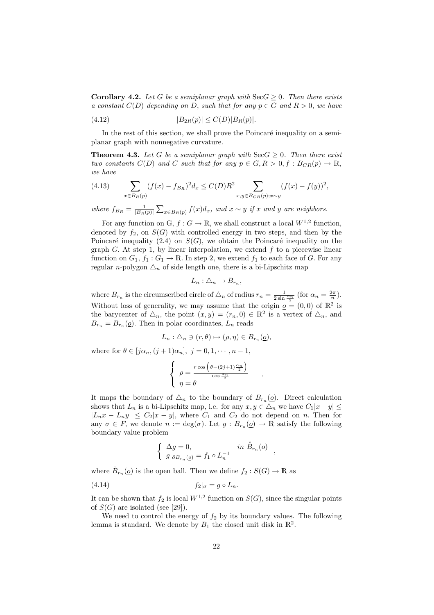**Corollary 4.2.** Let G be a semiplanar graph with  $\text{Sec } G \geq 0$ . Then there exists a constant  $C(D)$  depending on D, such that for any  $p \in G$  and  $R > 0$ , we have

(4.12) 
$$
|B_{2R}(p)| \le C(D)|B_R(p)|.
$$

In the rest of this section, we shall prove the Poincaré inequality on a semiplanar graph with nonnegative curvature.

**Theorem 4.3.** Let G be a semiplanar graph with  $\text{Sec } G \geq 0$ . Then there exist two constants  $C(D)$  and C such that for any  $p \in G, R > 0, f : B_{CR}(p) \to \mathbb{R}$ , we have

(4.13) 
$$
\sum_{x \in B_R(p)} (f(x) - f_{B_R})^2 d_x \le C(D) R^2 \sum_{x, y \in B_{CR}(p); x \sim y} (f(x) - f(y))^2,
$$

where  $f_{B_R} = \frac{1}{|B_R(p)|} \sum_{x \in B_R(p)} f(x) d_x$ , and  $x \sim y$  if x and y are neighbors.

For any function on G,  $f: G \to \mathbb{R}$ , we shall construct a local  $W^{1,2}$  function, denoted by  $f_2$ , on  $S(G)$  with controlled energy in two steps, and then by the Poincaré inequality (2.4) on  $S(G)$ , we obtain the Poincaré inequality on the graph G. At step 1, by linear interpolation, we extend  $f$  to a piecewise linear function on  $G_1$ ,  $f_1: G_1 \to \mathbb{R}$ . In step 2, we extend  $f_1$  to each face of G. For any regular n-polygon  $\Delta_n$  of side length one, there is a bi-Lipschitz map

$$
L_n: \triangle_n \to B_{r_n},
$$

where  $B_{r_n}$  is the circumscribed circle of  $\Delta_n$  of radius  $r_n = \frac{1}{2 \sin \frac{\alpha_n}{2}}$  (for  $\alpha_n = \frac{2\pi}{n}$ ). Without loss of generality, we may assume that the origin  $q = (0,0)$  of  $\mathbb{R}^2$  is the barycenter of  $\Delta_n$ , the point  $(x, y) = (r_n, 0) \in \mathbb{R}^2$  is a vertex of  $\Delta_n$ , and  $B_{r_n} = B_{r_n}(\underline{o})$ . Then in polar coordinates,  $L_n$  reads

$$
L_n: \triangle_n \ni (r, \theta) \mapsto (\rho, \eta) \in B_{r_n}(\underline{\varrho}),
$$

where for  $\theta \in [j\alpha_n, (j+1)\alpha_n], j = 0, 1, \cdots, n-1$ ,

$$
\begin{cases}\n\rho = \frac{r \cos \left(\theta - (2j+1)\frac{\alpha_n}{2}\right)}{\cos \frac{\alpha_n}{2}} \\
\eta = \theta\n\end{cases}
$$

.

It maps the boundary of  $\Delta_n$  to the boundary of  $B_{r_n}(\underline{o})$ . Direct calculation shows that  $L_n$  is a bi-Lipschitz map, i.e. for any  $x, y \in \triangle_n$  we have  $C_1|x-y| \leq$  $|L_nx - L_ny| \le C_2|x - y|$ , where  $C_1$  and  $C_2$  do not depend on n. Then for any  $\sigma \in F$ , we denote  $n := \deg(\sigma)$ . Let  $g : B_{r_n}(\underline{\rho}) \to \mathbb{R}$  satisfy the following boundary value problem

$$
\left\{ \begin{array}{ll} \Delta g=0, & in \ \mathring{B}_{r_n}(\underline{o}) \\ g|_{\partial B_{r_n}(\underline{o})}=f_1\circ L_n^{-1} \end{array} \right.,
$$

where  $\mathring{B}_{r_n}(\underline{o})$  is the open ball. Then we define  $f_2: S(G) \to \mathbb{R}$  as

$$
(4.14) \t\t\t f_2|_{\sigma} = g \circ L_n.
$$

It can be shown that  $f_2$  is local  $W^{1,2}$  function on  $S(G)$ , since the singular points of  $S(G)$  are isolated (see [29]).

We need to control the energy of  $f_2$  by its boundary values. The following lemma is standard. We denote by  $B_1$  the closed unit disk in  $\mathbb{R}^2$ .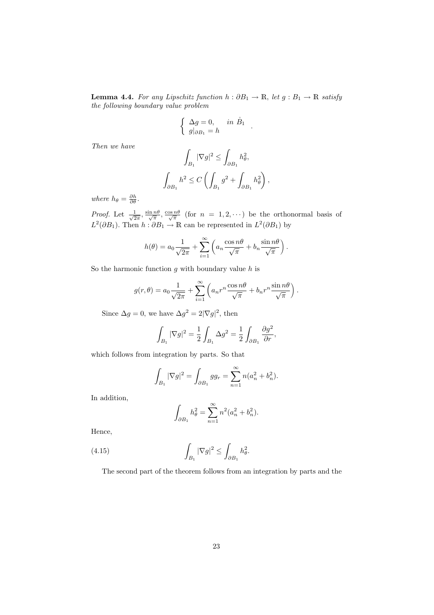**Lemma 4.4.** For any Lipschitz function  $h : \partial B_1 \to \mathbb{R}$ , let  $g : B_1 \to \mathbb{R}$  satisfy the following boundary value problem

$$
\begin{cases} \Delta g = 0, & \text{in } \mathring{B}_1 \\ g|_{\partial B_1} = h \end{cases}
$$

.

.

Then we have

$$
\int_{B_1} |\nabla g|^2 \le \int_{\partial B_1} h_\theta^2,
$$
  

$$
\int_{\partial B_1} h^2 \le C \left( \int_{B_1} g^2 + \int_{\partial B_1} h_\theta^2 \right),
$$

where  $h_{\theta} = \frac{\partial h}{\partial \theta}$ .

*Proof.* Let  $\frac{1}{\sqrt{2}}$  $\frac{1}{2\pi}$ ,  $\frac{\sin n\theta}{\sqrt{\pi}}$ ,  $\frac{\cos n\theta}{\sqrt{\pi}}$  (for  $n = 1, 2, \cdots$ ) be the orthonormal basis of  $L^2(\partial B_1)$ . Then  $h : \partial B_1 \to \mathbb{R}$  can be represented in  $L^2(\partial B_1)$  by

$$
h(\theta) = a_0 \frac{1}{\sqrt{2\pi}} + \sum_{i=1}^{\infty} \left( a_n \frac{\cos n\theta}{\sqrt{\pi}} + b_n \frac{\sin n\theta}{\sqrt{\pi}} \right).
$$

So the harmonic function  $q$  with boundary value  $h$  is

$$
g(r,\theta) = a_0 \frac{1}{\sqrt{2\pi}} + \sum_{i=1}^{\infty} \left( a_n r^n \frac{\cos n\theta}{\sqrt{\pi}} + b_n r^n \frac{\sin n\theta}{\sqrt{\pi}} \right)
$$

Since  $\Delta g = 0$ , we have  $\Delta g^2 = 2|\nabla g|^2$ , then

$$
\int_{B_1} |\nabla g|^2 = \frac{1}{2} \int_{B_1} \Delta g^2 = \frac{1}{2} \int_{\partial B_1} \frac{\partial g^2}{\partial r},
$$

which follows from integration by parts. So that

$$
\int_{B_1} |\nabla g|^2 = \int_{\partial B_1} g g_r = \sum_{n=1}^{\infty} n (a_n^2 + b_n^2).
$$

In addition,

$$
\int_{\partial B_1} h_\theta^2 = \sum_{n=1}^\infty n^2 (a_n^2 + b_n^2).
$$

Hence,

(4.15) 
$$
\int_{B_1} |\nabla g|^2 \leq \int_{\partial B_1} h_\theta^2.
$$

The second part of the theorem follows from an integration by parts and the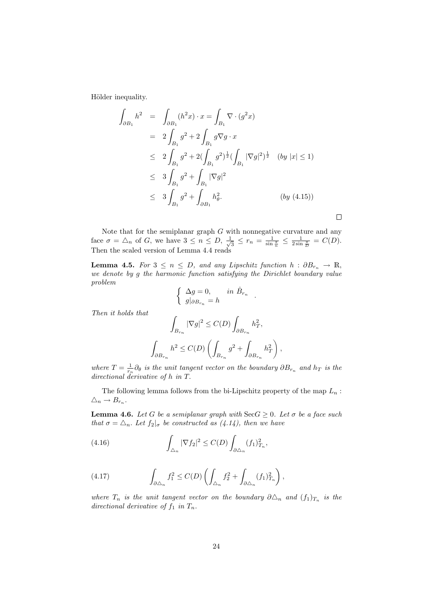Hölder inequality.

$$
\int_{\partial B_1} h^2 = \int_{\partial B_1} (h^2 x) \cdot x = \int_{B_1} \nabla \cdot (g^2 x)
$$
  
\n
$$
= 2 \int_{B_1} g^2 + 2 \int_{B_1} g \nabla g \cdot x
$$
  
\n
$$
\leq 2 \int_{B_1} g^2 + 2(\int_{B_1} g^2)^{\frac{1}{2}} (\int_{B_1} |\nabla g|^2)^{\frac{1}{2}} (by |x| \leq 1)
$$
  
\n
$$
\leq 3 \int_{B_1} g^2 + \int_{B_1} |\nabla g|^2
$$
  
\n
$$
\leq 3 \int_{B_1} g^2 + \int_{\partial B_1} h_\theta^2.
$$
 (by (4.15))

 $\Box$ 

Note that for the semiplanar graph  $G$  with nonnegative curvature and any face  $\sigma = \Delta_n$  of G, we have  $3 \leq n \leq D, \frac{1}{\sqrt{n}}$  $\frac{1}{3} \leq r_n = \frac{1}{\sin \frac{\pi}{n}} \leq \frac{1}{2 \sin \frac{\pi}{D}} = C(D).$ Then the scaled version of Lemma 4.4 reads

**Lemma 4.5.** For  $3 \le n \le D$ , and any Lipschitz function  $h : \partial B_{r_n} \to \mathbb{R}$ , we denote by g the harmonic function satisfying the Dirichlet boundary value problem

$$
\begin{cases} \Delta g = 0, & \text{in } \mathring{B}_{r_n} \\ g|_{\partial B_{r_n}} = h \end{cases}.
$$

Then it holds that

$$
\begin{aligned} \int_{B_{r_n}} |\nabla g|^2 &\leq C(D) \int_{\partial B_{r_n}} h_T^2, \\ \int_{\partial B_{r_n}} h^2 &\leq C(D) \left(\int_{B_{r_n}} g^2 + \int_{\partial B_{r_n}} h_T^2\right), \end{aligned}
$$

where  $T = \frac{1}{r_n} \partial_\theta$  is the unit tangent vector on the boundary  $\partial B_{r_n}$  and  $h_T$  is the directional derivative of h in T.

The following lemma follows from the bi-Lipschitz property of the map  $L_n$ :  $\triangle_n \rightarrow B_{r_n}.$ 

**Lemma 4.6.** Let G be a semiplanar graph with  $\text{Sec } G \geq 0$ . Let  $\sigma$  be a face such that  $\sigma = \Delta_n$ . Let  $f_2|_{\sigma}$  be constructed as (4.14), then we have

(4.16) 
$$
\int_{\Delta_n} |\nabla f_2|^2 \leq C(D) \int_{\partial \Delta_n} (f_1)_{T_n}^2,
$$

(4.17) 
$$
\int_{\partial \triangle_n} f_1^2 \leq C(D) \left( \int_{\triangle_n} f_2^2 + \int_{\partial \triangle_n} (f_1)_{T_n}^2 \right),
$$

where  $T_n$  is the unit tangent vector on the boundary  $\partial \Delta_n$  and  $(f_1)_{T_n}$  is the directional derivative of  $f_1$  in  $T_n$ .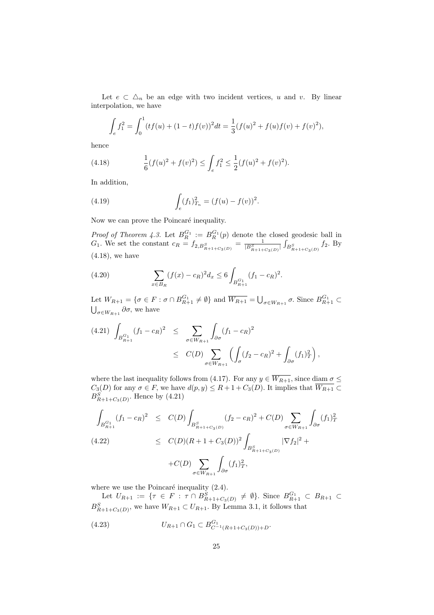Let  $e \subset \Delta_n$  be an edge with two incident vertices, u and v. By linear interpolation, we have

$$
\int_e f_1^2 = \int_0^1 (tf(u) + (1-t)f(v))^2 dt = \frac{1}{3}(f(u)^2 + f(u)f(v) + f(v)^2),
$$

hence

(4.18) 
$$
\frac{1}{6}(f(u)^2 + f(v)^2) \le \int_e f_1^2 \le \frac{1}{2}(f(u)^2 + f(v)^2).
$$

In addition,

(4.19) 
$$
\int_{e} (f_1)_{T_n}^2 = (f(u) - f(v))^2.
$$

Now we can prove the Poincaré inequality.

*Proof of Theorem 4.3.* Let  $B_R^{G_1} := B_R^{G_1}(p)$  denote the closed geodesic ball in  $G_1$ . We set the constant  $c_R = f_{2,B_{R+1+C_3(D)}^S} = \frac{1}{|B_{R+1+C_3(D)}^S|}$ ´  $B_{R+1+C_3(D)}^S f_2$ . By (4.18), we have

(4.20) 
$$
\sum_{x \in B_R} (f(x) - c_R)^2 d_x \le 6 \int_{B_{R+1}^{G_1}} (f_1 - c_R)^2.
$$

Let  $W_{R+1} = \{ \sigma \in F : \sigma \cap B_{R+1}^{G_1} \neq \emptyset \}$  and  $\overline{W_{R+1}} = \bigcup_{\sigma \in W_{R+1}} \sigma$ . Since  $B_{R+1}^{G_1} \subset$  $\bigcup_{\sigma \in W_{R+1}} \partial \sigma$ , we have

$$
(4.21) \int_{B_{R+1}^{G_1}} (f_1 - c_R)^2 \leq \sum_{\sigma \in W_{R+1}} \int_{\partial \sigma} (f_1 - c_R)^2
$$
  
 
$$
\leq C(D) \sum_{\sigma \in W_{R+1}} \left( \int_{\sigma} (f_2 - c_R)^2 + \int_{\partial \sigma} (f_1)^2 \right),
$$

where the last inequality follows from (4.17). For any  $y \in \overline{W_{R+1}}$ , since diam  $\sigma \leq$  $C_3(D)$  for any  $\sigma \in F$ , we have  $d(p, y) \leq R + 1 + C_3(D)$ . It implies that  $\overline{W_{R+1}} \subset$  $B_{R+1+C_3(D)}^{S}$ . Hence by (4.21)

$$
\int_{B_{R+1}^{G_1}} (f_1 - c_R)^2 \le C(D) \int_{B_{R+1+C_3(D)}^S} (f_2 - c_R)^2 + C(D) \sum_{\sigma \in W_{R+1}} \int_{\partial \sigma} (f_1)_T^2
$$
\n
$$
\le C(D)(R+1+C_3(D))^2 \int_{B_{R+1+C_3(D)}^S} |\nabla f_2|^2 +
$$
\n
$$
+ C(D) \sum_{\sigma \in W_{R+1}} \int_{\partial \sigma} (f_1)_T^2,
$$

where we use the Poincaré inequality  $(2.4)$ .

Let  $U_{R+1} := \{ \tau \in F : \tau \cap B_{R+1+C_3(D)}^S \neq \emptyset \}$ . Since  $B_{R+1}^{G_1} \subset B_{R+1} \subset$  $B_{R+1+C_3(D)}^S$ , we have  $W_{R+1} \subset U_{R+1}$ . By Lemma 3.1, it follows that

(4.23) 
$$
U_{R+1} \cap G_1 \subset B^{G_1}_{C^{-1}(R+1+C_3(D))+D}.
$$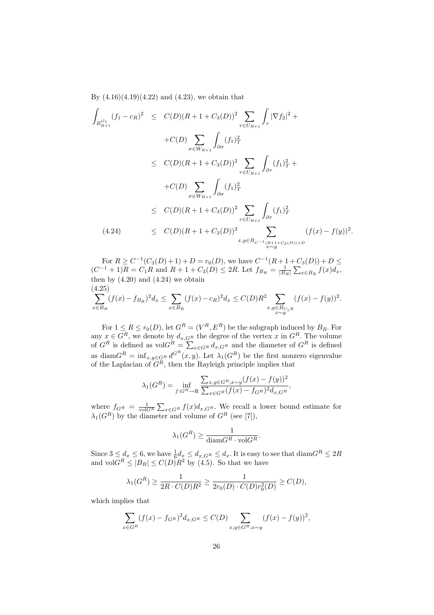By  $(4.16)(4.19)(4.22)$  and  $(4.23)$ , we obtain that

$$
\int_{B_{R+1}^{G_1}} (f_1 - c_R)^2 \le C(D)(R + 1 + C_3(D))^2 \sum_{\tau \in U_{R+1}} \int_{\tau} |\nabla f_2|^2 +
$$
\n
$$
+ C(D) \sum_{\sigma \in W_{R+1}} \int_{\partial \sigma} (f_1)_T^2
$$
\n
$$
\le C(D)(R + 1 + C_3(D))^2 \sum_{\tau \in U_{R+1}} \int_{\partial \tau} (f_1)_T^2 +
$$
\n
$$
+ C(D) \sum_{\sigma \in W_{R+1}} \int_{\partial \sigma} (f_1)_T^2
$$
\n
$$
\le C(D)(R + 1 + C_3(D))^2 \sum_{\tau \in U_{R+1}} \int_{\partial \tau} (f_1)_T^2
$$
\n(4.24) 
$$
\le C(D)(R + 1 + C_3(D))^2 \sum_{x,y \in B_{C^{-1}(R+1+C_3(D))+D}} (f(x) - f(y))^2.
$$

For  $R \ge C^{-1}(C_3(D) + 1) + D = r_0(D)$ , we have  $C^{-1}(R + 1 + C_3(D)) + D \le C$  $(C^{-1} + 1)R = C_1R$  and  $R + 1 + C_3(D) \leq 2R$ . Let  $f_{B_R} = \frac{1}{|B_R|} \sum_{x \in B_R} f(x) d_x$ , then by  $(4.20)$  and  $(4.24)$  we obtain (4.25) .

$$
\sum_{x \in B_R} (f(x) - f_{B_R})^2 d_x \le \sum_{x \in B_R} (f(x) - c_R)^2 d_x \le C(D)R^2 \sum_{\substack{x, y \in B_{C_1 R} \\ x \sim y}} (f(x) - f(y))^2
$$

For  $1 \leq R \leq r_0(D)$ , let  $G^R = (V^R, E^R)$  be the subgraph induced by  $B_R$ . For any  $x \in G^R$ , we denote by  $d_{x,G^R}$  the degree of the vertex x in  $G^R$ . The volume of  $G^R$  is defined as vol $G^R = \sum_{x \in G^R} d_{x,G^R}$  and the diameter of  $G^R$  is defined as diam $G^R = \inf_{x,y \in G^R} d^{G^R}(x,y)$ . Let  $\lambda_1(G^R)$  be the first nonzero eigenvalue of the Laplacian of  $G^R$ , then the Rayleigh principle implies that

$$
\lambda_1(G^R) = \inf_{f:G^R \to \mathbb{R}} \frac{\sum_{x,y \in G^R; x \sim y} (f(x) - f(y))^2}{\sum_{x \in G^R} (f(x) - f_{G^R})^2 d_{x, G^R}},
$$

where  $f_{G^R} = \frac{1}{\text{vol}G^R} \sum_{x \in G^R} f(x) d_{x, G^R}$ . We recall a lower bound estimate for  $\lambda_1(G^R)$  by the diameter and volume of  $G^R$  (see [7]),

$$
\lambda_1(G^R) \ge \frac{1}{\text{diam} G^R \cdot \text{vol} G^R}.
$$

Since  $3 \leq d_x \leq 6$ , we have  $\frac{1}{6}d_x \leq d_{x,G}$   $\leq d_x$ . It is easy to see that  $\text{diam} G^R \leq 2R$ and vol $G^R \leq |B_R| \leq C(D)R^2$  by (4.5). So that we have

$$
\lambda_1(G^R) \ge \frac{1}{2R \cdot C(D)R^2} \ge \frac{1}{2r_0(D) \cdot C(D)r_0^2(D)} \ge C(D),
$$

which implies that

$$
\sum_{x \in G^{R}} (f(x) - f_{G^{R}})^{2} d_{x, G^{R}} \le C(D) \sum_{x, y \in G^{R}; x \sim y} (f(x) - f(y))^{2},
$$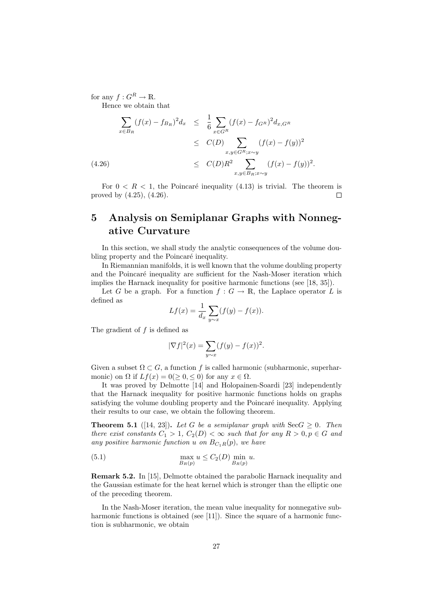for any  $f: G^R \to \mathbb{R}$ . Hence we obtain that

$$
\sum_{x \in B_R} (f(x) - f_{B_R})^2 d_x \leq \frac{1}{6} \sum_{x \in G^R} (f(x) - f_{G^R})^2 d_{x, G^R}
$$
\n
$$
\leq C(D) \sum_{x, y \in G^R; x \sim y} (f(x) - f(y))^2
$$
\n(4.26)\n
$$
\leq C(D) R^2 \sum_{x, y \in B_R; x \sim y} (f(x) - f(y))^2.
$$

For  $0 \lt R \lt 1$ , the Poincaré inequality (4.13) is trivial. The theorem is proved by (4.25), (4.26).  $\Box$ 

# 5 Analysis on Semiplanar Graphs with Nonnegative Curvature

In this section, we shall study the analytic consequences of the volume doubling property and the Poincaré inequality.

In Riemannian manifolds, it is well known that the volume doubling property and the Poincaré inequality are sufficient for the Nash-Moser iteration which implies the Harnack inequality for positive harmonic functions (see [18, 35]).

Let G be a graph. For a function  $f: G \to \mathbb{R}$ , the Laplace operator L is defined as

$$
Lf(x) = \frac{1}{d_x} \sum_{y \sim x} (f(y) - f(x)).
$$

The gradient of  $f$  is defined as

$$
|\nabla f|^2(x) = \sum_{y \sim x} (f(y) - f(x))^2.
$$

Given a subset  $\Omega \subset G$ , a function f is called harmonic (subharmonic, superharmonic) on  $\Omega$  if  $Lf(x) = 0 (\geq 0, \leq 0)$  for any  $x \in \Omega$ .

It was proved by Delmotte [14] and Holopainen-Soardi [23] independently that the Harnack inequality for positive harmonic functions holds on graphs satisfying the volume doubling property and the Poincaré inequality. Applying their results to our case, we obtain the following theorem.

**Theorem 5.1** ([14, 23]). Let G be a semiplanar graph with  $\text{Sec } G \geq 0$ . Then there exist constants  $C_1 > 1$ ,  $C_2(D) < \infty$  such that for any  $R > 0, p \in G$  and any positive harmonic function u on  $B_{C_1R}(p)$ , we have

(5.1) 
$$
\max_{B_R(p)} u \le C_2(D) \min_{B_R(p)} u.
$$

Remark 5.2. In [15], Delmotte obtained the parabolic Harnack inequality and the Gaussian estimate for the heat kernel which is stronger than the elliptic one of the preceding theorem.

In the Nash-Moser iteration, the mean value inequality for nonnegative subharmonic functions is obtained (see [11]). Since the square of a harmonic function is subharmonic, we obtain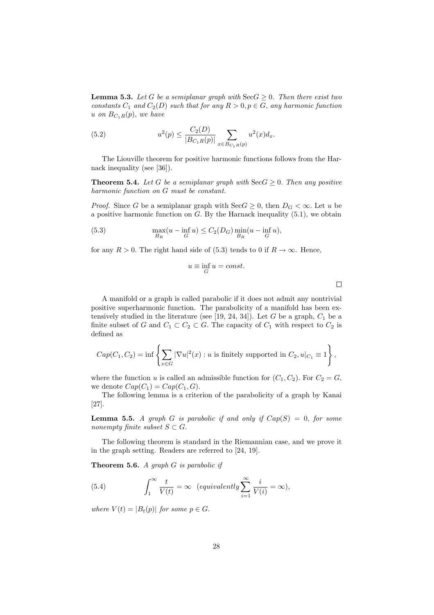**Lemma 5.3.** Let G be a semiplanar graph with  $\text{Sec } G \geq 0$ . Then there exist two constants  $C_1$  and  $C_2(D)$  such that for any  $R > 0, p \in G$ , any harmonic function u on  $B_{C_1R}(p)$ , we have

(5.2) 
$$
u^{2}(p) \leq \frac{C_{2}(D)}{|B_{C_{1}R}(p)|} \sum_{x \in B_{C_{1}R}(p)} u^{2}(x) d_{x}.
$$

The Liouville theorem for positive harmonic functions follows from the Harnack inequality (see [36]).

**Theorem 5.4.** Let G be a semiplanar graph with  $\text{Sec } G \geq 0$ . Then any positive harmonic function on G must be constant.

*Proof.* Since G be a semiplanar graph with  $\text{Sec } G \geq 0$ , then  $D_G < \infty$ . Let u be a positive harmonic function on  $G$ . By the Harnack inequality  $(5.1)$ , we obtain

(5.3) 
$$
\max_{B_R} (u - \inf_G u) \le C_2(D_G) \min_{B_R} (u - \inf_G u),
$$

for any  $R > 0$ . The right hand side of (5.3) tends to 0 if  $R \to \infty$ . Hence,

$$
u \equiv \inf_{G} u = const.
$$

 $\Box$ 

A manifold or a graph is called parabolic if it does not admit any nontrivial positive superharmonic function. The parabolicity of a manifold has been extensively studied in the literature (see [19, 24, 34]). Let  $G$  be a graph,  $C_1$  be a finite subset of G and  $C_1 \subset C_2 \subset G$ . The capacity of  $C_1$  with respect to  $C_2$  is defined as

$$
Cap(C_1, C_2) = \inf \left\{ \sum_{x \in G} |\nabla u|^2(x) : u \text{ is finitely supported in } C_2, u|_{C_1} \equiv 1 \right\},\
$$

where the function u is called an admissible function for  $(C_1, C_2)$ . For  $C_2 = G$ , we denote  $Cap(C_1) = Cap(C_1, G)$ .

The following lemma is a criterion of the parabolicity of a graph by Kanai [27].

**Lemma 5.5.** A graph G is parabolic if and only if  $Cap(S) = 0$ , for some nonempty finite subset  $S \subset G$ .

The following theorem is standard in the Riemannian case, and we prove it in the graph setting. Readers are referred to [24, 19].

**Theorem 5.6.** A graph  $G$  is parabolic if

(5.4) 
$$
\int_{1}^{\infty} \frac{t}{V(t)} = \infty \ \ (equivalently \sum_{i=1}^{\infty} \frac{i}{V(i)} = \infty),
$$

where  $V(t) = |B_t(p)|$  for some  $p \in G$ .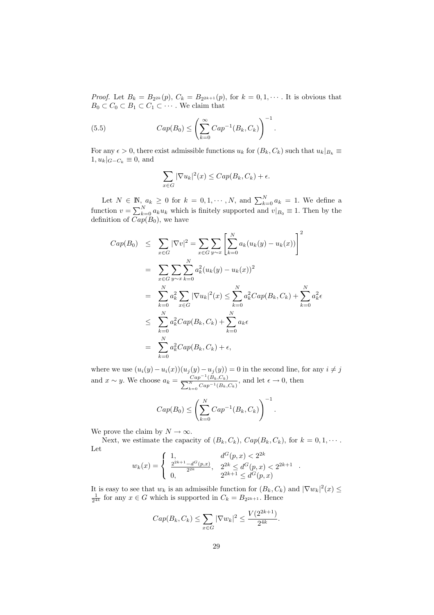*Proof.* Let  $B_k = B_{2^{2k}}(p)$ ,  $C_k = B_{2^{2k+1}}(p)$ , for  $k = 0, 1, \cdots$ . It is obvious that  $B_0 \subset C_0 \subset B_1 \subset C_1 \subset \cdots$ . We claim that

(5.5) 
$$
Cap(B_0) \leq \left(\sum_{k=0}^{\infty} Cap^{-1}(B_k, C_k)\right)^{-1}.
$$

For any  $\epsilon > 0$ , there exist admissible functions  $u_k$  for  $(B_k, C_k)$  such that  $u_k|_{B_k} \equiv$  $1, u_k|_{G-C_k} \equiv 0$ , and

$$
\sum_{x \in G} |\nabla u_k|^2(x) \leq Cap(B_k, C_k) + \epsilon.
$$

Let  $N \in \mathbb{N}$ ,  $a_k \geq 0$  for  $k = 0, 1, \dots, N$ , and  $\sum_{k=0}^{N} a_k = 1$ . We define a function  $v = \sum_{k=0}^{N} a_k u_k$  which is finitely supported and  $v|_{B_0} \equiv 1$ . Then by the definition of  $\overline{Cap(B_0)}$ , we have

$$
Cap(B_0) \leq \sum_{x \in G} |\nabla v|^2 = \sum_{x \in G} \sum_{y \sim x} \left[ \sum_{k=0}^N a_k (u_k(y) - u_k(x)) \right]^2
$$
  
= 
$$
\sum_{x \in G} \sum_{y \sim x} \sum_{k=0}^N a_k^2 (u_k(y) - u_k(x))^2
$$
  
= 
$$
\sum_{k=0}^N a_k^2 \sum_{x \in G} |\nabla u_k|^2(x) \leq \sum_{k=0}^N a_k^2 Cap(B_k, C_k) + \sum_{k=0}^N a_k^2 \epsilon
$$
  

$$
\leq \sum_{k=0}^N a_k^2 Cap(B_k, C_k) + \sum_{k=0}^N a_k \epsilon
$$
  
= 
$$
\sum_{k=0}^N a_k^2 Cap(B_k, C_k) + \epsilon,
$$

where we use  $(u_i(y)-u_i(x))(u_j(y)-u_j(y))=0$  in the second line, for any  $i \neq j$ and  $x \sim y$ . We choose  $a_k = \frac{Cap^{-1}}{\sum_{i=1}^{N} a_i}$  $\frac{Cap^{-1}(B_k, C_k)}{\sum_{k=0}^{N} Cap^{-1}(B_k, A_k)}$  $\frac{Cap^{-1}(B_k, C_k)}{N}$  and let  $\epsilon \to 0$ , then  $\frac{N}{k=0}Cap^{-1}(B_k, C_k)$ 

$$
Cap(B_0) \leq \left(\sum_{k=0}^N Cap^{-1}(B_k, C_k)\right)^{-1}.
$$

We prove the claim by  $N \to \infty$ .

Next, we estimate the capacity of  $(B_k, C_k)$ ,  $Cap(B_k, C_k)$ , for  $k = 0, 1, \cdots$ . Let 7

$$
w_k(x) = \begin{cases} 1, & d^G(p,x) < 2^{2k} \\ \frac{2^{2k+1} - d^G(p,x)}{2^{2k}}, & 2^{2k} \le d^G(p,x) < 2^{2k+1} \\ 0, & 2^{2k+1} \le d^G(p,x) \end{cases}
$$

.

It is easy to see that  $w_k$  is an admissible function for  $(B_k, C_k)$  and  $|\nabla w_k|^2(x) \le$  $\frac{1}{2^{4k}}$  for any  $x \in G$  which is supported in  $C_k = B_{2^{2k+1}}$ . Hence

$$
Cap(B_k, C_k) \le \sum_{x \in G} |\nabla w_k|^2 \le \frac{V(2^{2k+1})}{2^{4k}}.
$$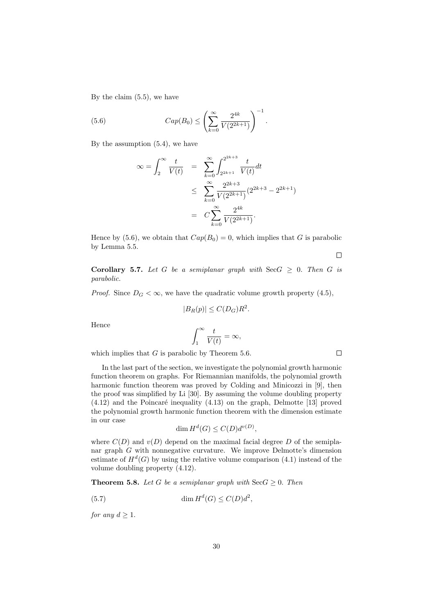By the claim (5.5), we have

(5.6) 
$$
Cap(B_0) \leq \left(\sum_{k=0}^{\infty} \frac{2^{4k}}{V(2^{2k+1})}\right)^{-1}.
$$

By the assumption (5.4), we have

$$
\infty = \int_2^{\infty} \frac{t}{V(t)} = \sum_{k=0}^{\infty} \int_{2^{2k+1}}^{2^{2k+3}} \frac{t}{V(t)} dt
$$
  

$$
\leq \sum_{k=0}^{\infty} \frac{2^{2k+3}}{V(2^{2k+1})} (2^{2k+3} - 2^{2k+1})
$$
  

$$
= C \sum_{k=0}^{\infty} \frac{2^{4k}}{V(2^{2k+1})}.
$$

Hence by (5.6), we obtain that  $Cap(B_0) = 0$ , which implies that G is parabolic by Lemma 5.5.

 $\Box$ 

 $\Box$ 

Corollary 5.7. Let G be a semiplanar graph with  $\text{Sec}G \geq 0$ . Then G is parabolic.

*Proof.* Since  $D_G < \infty$ , we have the quadratic volume growth property (4.5),

$$
|B_R(p)| \le C(D_G)R^2.
$$

Hence

$$
\int_{1}^{\infty} \frac{t}{V(t)} = \infty,
$$

which implies that  $G$  is parabolic by Theorem 5.6.

In the last part of the section, we investigate the polynomial growth harmonic function theorem on graphs. For Riemannian manifolds, the polynomial growth harmonic function theorem was proved by Colding and Minicozzi in [9], then the proof was simplified by Li [30]. By assuming the volume doubling property  $(4.12)$  and the Poincaré inequality  $(4.13)$  on the graph, Delmotte [13] proved the polynomial growth harmonic function theorem with the dimension estimate in our case

$$
\dim H^d(G) \le C(D)d^{v(D)},
$$

where  $C(D)$  and  $v(D)$  depend on the maximal facial degree D of the semiplanar graph G with nonnegative curvature. We improve Delmotte's dimension estimate of  $H^d(G)$  by using the relative volume comparison  $(4.1)$  instead of the volume doubling property (4.12).

**Theorem 5.8.** Let G be a semiplanar graph with  $\text{Sec } G \geq 0$ . Then

(5.7) 
$$
\dim H^d(G) \le C(D)d^2,
$$

for any  $d \geq 1$ .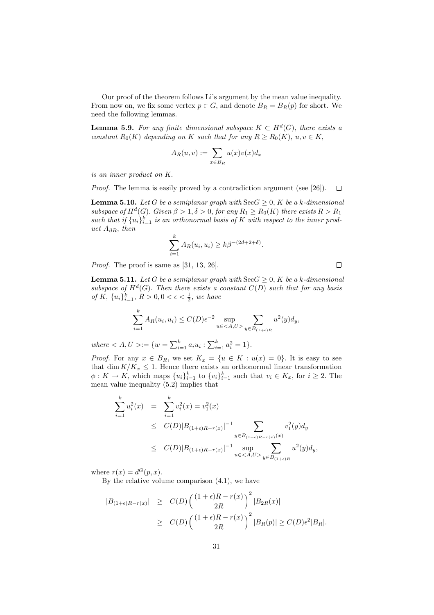Our proof of the theorem follows Li's argument by the mean value inequality. From now on, we fix some vertex  $p \in G$ , and denote  $B_R = B_R(p)$  for short. We need the following lemmas.

**Lemma 5.9.** For any finite dimensional subspace  $K \subset H^d(G)$ , there exists a constant  $R_0(K)$  depending on K such that for any  $R \ge R_0(K)$ ,  $u, v \in K$ ,

$$
A_R(u,v) := \sum_{x \in B_R} u(x)v(x)d_x
$$

is an inner product on K.

Proof. The lemma is easily proved by a contradiction argument (see [26]).  $\Box$ 

**Lemma 5.10.** Let G be a semiplanar graph with  $\text{Sec } G \geq 0$ , K be a k-dimensional subspace of  $H^d(G)$ . Given  $\beta > 1, \delta > 0$ , for any  $R_1 \geq R_0(K)$  there exists  $R > R_1$ such that if  ${u_i}_{i=1}^k$  is an orthonormal basis of K with respect to the inner product  $A_{\beta R}$ , then

$$
\sum_{i=1}^k A_R(u_i, u_i) \ge k\beta^{-(2d+2+\delta)}.
$$

Proof. The proof is same as [31, 13, 26].

**Lemma 5.11.** Let G be a semiplanar graph with  $\text{Sec } G > 0$ , K be a k-dimensional subspace of  $H^d(G)$ . Then there exists a constant  $C(D)$  such that for any basis of K,  $\{u_i\}_{i=1}^k$ ,  $R > 0, 0 < \epsilon < \frac{1}{2}$ , we have

 $\Box$ 

$$
\sum_{i=1}^{k} A_R(u_i, u_i) \le C(D)\epsilon^{-2} \sup_{u \in \langle A, U \rangle} \sum_{y \in B_{(1+\epsilon)R}} u^2(y) d_y,
$$

where  $\langle A, U \rangle := \{ w = \sum_{i=1}^{k} a_i u_i : \sum_{i=1}^{k} a_i^2 = 1 \}.$ 

*Proof.* For any  $x \in B_R$ , we set  $K_x = \{u \in K : u(x) = 0\}$ . It is easy to see that dim  $K/K_x \leq 1$ . Hence there exists an orthonormal linear transformation  $\phi: K \to K$ , which maps  $\{u_i\}_{i=1}^k$  to  $\{v_i\}_{i=1}^k$  such that  $v_i \in K_x$ , for  $i \geq 2$ . The mean value inequality (5.2) implies that

$$
\sum_{i=1}^{k} u_i^2(x) = \sum_{i=1}^{k} v_i^2(x) = v_1^2(x)
$$
\n
$$
\leq C(D)|B_{(1+\epsilon)R-r(x)}|^{-1} \sum_{y \in B_{(1+\epsilon)R-r(x)}(x)} v_1^2(y) dy
$$
\n
$$
\leq C(D)|B_{(1+\epsilon)R-r(x)}|^{-1} \sup_{u \in \langle A, U \rangle} \sum_{y \in B_{(1+\epsilon)R}} u^2(y) dy,
$$

where  $r(x) = d^G(p, x)$ .

By the relative volume comparison (4.1), we have

$$
|B_{(1+\epsilon)R-r(x)}| \geq C(D) \left( \frac{(1+\epsilon)R-r(x)}{2R} \right)^2 |B_{2R}(x)|
$$
  
 
$$
\geq C(D) \left( \frac{(1+\epsilon)R-r(x)}{2R} \right)^2 |B_R(p)| \geq C(D)\epsilon^2 |B_R|.
$$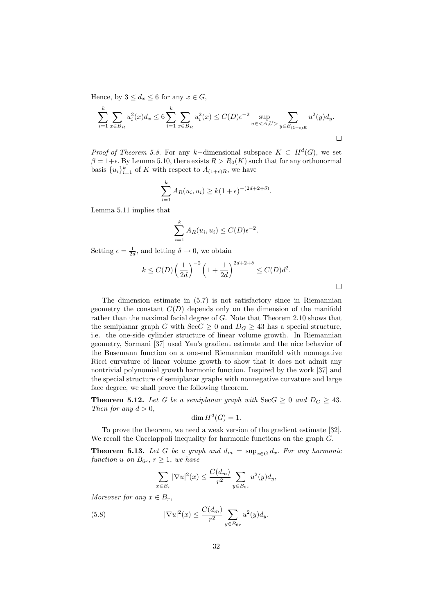Hence, by  $3 \leq d_x \leq 6$  for any  $x \in G$ ,

$$
\sum_{i=1}^{k} \sum_{x \in B_R} u_i^2(x) d_x \le 6 \sum_{i=1}^{k} \sum_{x \in B_R} u_i^2(x) \le C(D) \epsilon^{-2} \sup_{u \in \langle A, U \rangle} \sum_{y \in B_{(1+\epsilon)R}} u^2(y) d_y.
$$

*Proof of Theorem 5.8.* For any k-dimensional subspace  $K \subset H^d(G)$ , we set  $\beta = 1+\epsilon$ . By Lemma 5.10, there exists  $R > R_0(K)$  such that for any orthonormal basis  $\{u_i\}_{i=1}^k$  of K with respect to  $A_{(1+\epsilon)R}$ , we have

$$
\sum_{i=1}^{k} A_R(u_i, u_i) \ge k(1+\epsilon)^{-(2d+2+\delta)}
$$

.

Lemma 5.11 implies that

$$
\sum_{i=1}^{k} A_R(u_i, u_i) \le C(D)\epsilon^{-2}.
$$

Setting  $\epsilon = \frac{1}{2d}$ , and letting  $\delta \to 0$ , we obtain

$$
k \le C(D) \left(\frac{1}{2d}\right)^{-2} \left(1 + \frac{1}{2d}\right)^{2d+2+\delta} \le C(D)d^2.
$$

The dimension estimate in (5.7) is not satisfactory since in Riemannian geometry the constant  $C(D)$  depends only on the dimension of the manifold rather than the maximal facial degree of G. Note that Theorem 2.10 shows that the semiplanar graph G with  $\text{SecG} \geq 0$  and  $D_G \geq 43$  has a special structure, i.e. the one-side cylinder structure of linear volume growth. In Riemannian geometry, Sormani [37] used Yau's gradient estimate and the nice behavior of the Busemann function on a one-end Riemannian manifold with nonnegative Ricci curvature of linear volume growth to show that it does not admit any nontrivial polynomial growth harmonic function. Inspired by the work [37] and the special structure of semiplanar graphs with nonnegative curvature and large face degree, we shall prove the following theorem.

**Theorem 5.12.** Let G be a semiplanar graph with  $\text{Sec } G \geq 0$  and  $D_G \geq 43$ . Then for any  $d > 0$ ,

$$
\dim H^d(G) = 1.
$$

To prove the theorem, we need a weak version of the gradient estimate [32]. We recall the Cacciappoli inequality for harmonic functions on the graph  $G$ .

**Theorem 5.13.** Let G be a graph and  $d_m = \sup_{x \in G} d_x$ . For any harmonic function u on  $B_{6r}$ ,  $r \geq 1$ , we have

$$
\sum_{x \in B_r} |\nabla u|^2(x) \le \frac{C(d_m)}{r^2} \sum_{y \in B_{6r}} u^2(y) d_y,
$$

Moreover for any  $x \in B_r$ ,

(5.8) 
$$
|\nabla u|^2(x) \le \frac{C(d_m)}{r^2} \sum_{y \in B_{6r}} u^2(y) d_y.
$$

 $\Box$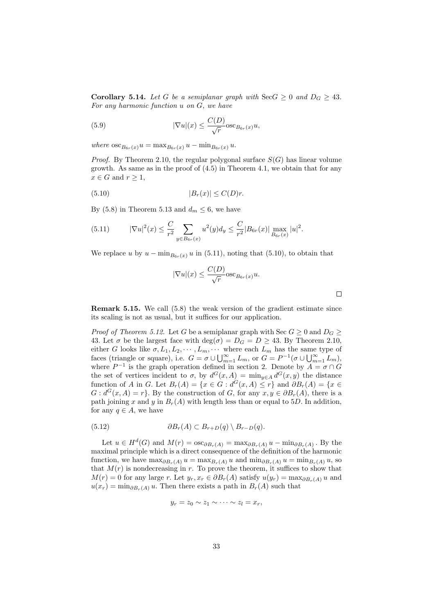**Corollary 5.14.** Let G be a semiplanar graph with  $\text{Sec } G \geq 0$  and  $D_G \geq 43$ . For any harmonic function u on G, we have

(5.9) 
$$
|\nabla u|(x) \leq \frac{C(D)}{\sqrt{r}} \csc_{B_{6r}(x)} u,
$$

where  $\csc_{B_{6r}(x)} u = \max_{B_{6r}(x)} u - \min_{B_{6r}(x)} u$ .

*Proof.* By Theorem 2.10, the regular polygonal surface  $S(G)$  has linear volume growth. As same as in the proof of (4.5) in Theorem 4.1, we obtain that for any  $x \in G$  and  $r \geq 1$ ,

$$
(5.10)\t\t\t |B_r(x)| \le C(D)r.
$$

By (5.8) in Theorem 5.13 and  $d_m \leq 6$ , we have

(5.11) 
$$
|\nabla u|^2(x) \leq \frac{C}{r^2} \sum_{y \in B_{6r}(x)} u^2(y) d_y \leq \frac{C}{r^2} |B_{6r}(x)| \max_{B_{6r}(x)} |u|^2.
$$

We replace u by  $u - \min_{B_{6r}(x)} u$  in (5.11), noting that (5.10), to obtain that

$$
|\nabla u|(x) \le \frac{C(D)}{\sqrt{r}} \csc_{B_{6r}(x)} u.
$$

 $\Box$ 

Remark 5.15. We call (5.8) the weak version of the gradient estimate since its scaling is not as usual, but it suffices for our application.

*Proof of Theorem 5.12.* Let G be a semiplanar graph with Sec  $G \geq 0$  and  $D_G \geq 0$ 43. Let  $\sigma$  be the largest face with  $\deg(\sigma) = D_G = D \geq 43$ . By Theorem 2.10, either G looks like  $\sigma$ ,  $L_1, L_2, \cdots, L_m, \cdots$  where each  $L_m$  has the same type of faces (triangle or square), i.e.  $G = \sigma \cup \bigcup_{m=1}^{\infty} L_m$ , or  $G = P^{-1}(\sigma \cup \bigcup_{m=1}^{\infty} L_m)$ , where  $P^{-1}$  is the graph operation defined in section 2. Denote by  $A = \sigma \cap G$ the set of vertices incident to  $\sigma$ , by  $d^G(x, A) = \min_{y \in A} d^G(x, y)$  the distance function of A in G. Let  $B_r(A) = \{x \in G : d^G(x, A) \leq r\}$  and  $\partial B_r(A) = \{x \in G : d^G(x, A) \leq r\}$  $G: d^G(x, A) = r$ . By the construction of G, for any  $x, y \in \partial B_r(A)$ , there is a path joining x and y in  $B_r(A)$  with length less than or equal to 5D. In addition, for any  $q \in A$ , we have

$$
(5.12) \t\t \t\t \partial B_r(A) \subset B_{r+D}(q) \setminus B_{r-D}(q).
$$

Let  $u \in H^d(G)$  and  $M(r) = \cos_{\partial B_r(A)} = \max_{\partial B_r(A)} u - \min_{\partial B_r(A)} v$ . By the maximal principle which is a direct consequence of the definition of the harmonic function, we have  $\max_{\partial B_r(A)} u = \max_{B_r(A)} u$  and  $\min_{\partial B_r(A)} u = \min_{B_r(A)} u$ , so that  $M(r)$  is nondecreasing in r. To prove the theorem, it suffices to show that  $M(r) = 0$  for any large r. Let  $y_r, x_r \in \partial B_r(A)$  satisfy  $u(y_r) = \max_{\partial B_r(A)} u$  and  $u(x_r) = \min_{\partial B_r(A)} u$ . Then there exists a path in  $B_r(A)$  such that

$$
y_r = z_0 \sim z_1 \sim \cdots \sim z_l = x_r,
$$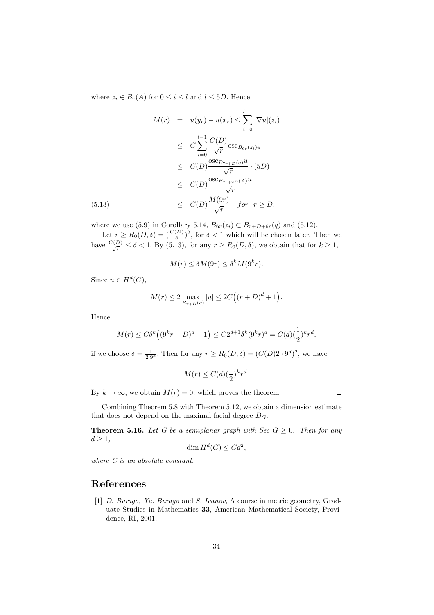where  $z_i \in B_r(A)$  for  $0 \leq i \leq l$  and  $l \leq 5D$ . Hence

$$
M(r) = u(y_r) - u(x_r) \le \sum_{i=0}^{l-1} |\nabla u|(z_i)
$$
  
\n
$$
\le C \sum_{i=0}^{l-1} \frac{C(D)}{\sqrt{r}} \text{osc}_{B_{6r}(z_i)u}
$$
  
\n
$$
\le C(D) \frac{\text{osc}_{B_{7r+D}(q)}u}{\sqrt{r}} \cdot (5D)
$$
  
\n
$$
\le C(D) \frac{\text{osc}_{B_{7r+2D}(A)}u}{\sqrt{r}}
$$
  
\n(5.13)  
\n
$$
\le C(D) \frac{M(9r)}{\sqrt{r}} \quad \text{for} \quad r \ge D,
$$

where we use (5.9) in Corollary 5.14,  $B_{6r}(z_i) \subset B_{r+D+6r}(q)$  and (5.12).

Let  $r \geq R_0(D,\delta) = \left(\frac{C(D)}{\delta}\right)^2$ , for  $\delta < 1$  which will be chosen later. Then we have  $\frac{C(D)}{\sqrt{r}} \le \delta < 1$ . By (5.13), for any  $r \ge R_0(D,\delta)$ , we obtain that for  $k \ge 1$ ,

$$
M(r) \le \delta M(9r) \le \delta^k M(9^k r).
$$

Since  $u \in H^d(G)$ ,

$$
M(r) \le 2 \max_{B_{r+D}(q)} |u| \le 2C((r+D)^d+1).
$$

Hence

$$
M(r)\leq C\delta^k\Big((9^kr+D)^d+1\Big)\leq C2^{d+1}\delta^k(9^kr)^d=C(d)(\frac{1}{2})^kr^d,
$$

if we choose  $\delta = \frac{1}{2 \cdot 9^d}$ . Then for any  $r \ge R_0(D, \delta) = (C(D)2 \cdot 9^d)^2$ , we have

$$
M(r) \le C(d) \left(\frac{1}{2}\right)^k r^d.
$$

By  $k \to \infty$ , we obtain  $M(r) = 0$ , which proves the theorem.

Combining Theorem 5.8 with Theorem 5.12, we obtain a dimension estimate that does not depend on the maximal facial degree  $D_G$ .

**Theorem 5.16.** Let G be a semiplanar graph with Sec  $G \geq 0$ . Then for any  $d\geq 1,$ 

$$
\dim H^d(G) \leq C d^2,
$$

where C is an absolute constant.

## References

[1] D. Burago, Yu. Burago and S. Ivanov, A course in metric geometry, Graduate Studies in Mathematics 33, American Mathematical Society, Providence, RI, 2001.

 $\Box$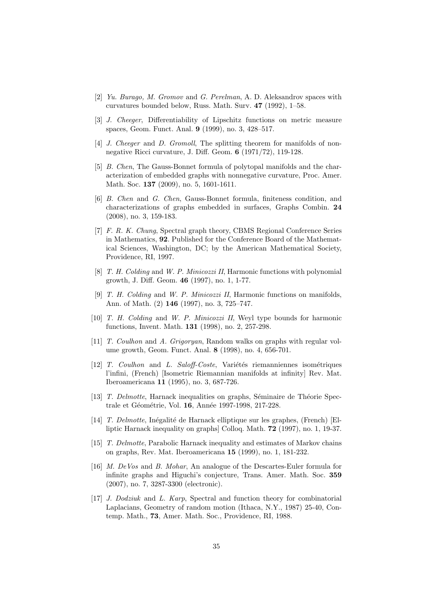- [2] Yu. Burago, M. Gromov and G. Perelman, A. D. Aleksandrov spaces with curvatures bounded below, Russ. Math. Surv. 47 (1992), 1–58.
- [3] J. Cheeger, Differentiability of Lipschitz functions on metric measure spaces, Geom. Funct. Anal. 9 (1999), no. 3, 428–517.
- [4] *J. Cheeger* and *D. Gromoll*, The splitting theorem for manifolds of nonnegative Ricci curvature, J. Diff. Geom. 6 (1971/72), 119-128.
- [5] B. Chen, The Gauss-Bonnet formula of polytopal manifolds and the characterization of embedded graphs with nonnegative curvature, Proc. Amer. Math. Soc. 137 (2009), no. 5, 1601-1611.
- [6] B. Chen and G. Chen, Gauss-Bonnet formula, finiteness condition, and characterizations of graphs embedded in surfaces, Graphs Combin. 24 (2008), no. 3, 159-183.
- [7] F. R. K. Chung, Spectral graph theory, CBMS Regional Conference Series in Mathematics, 92. Published for the Conference Board of the Mathematical Sciences, Washington, DC; by the American Mathematical Society, Providence, RI, 1997.
- [8] T. H. Colding and W. P. Minicozzi II, Harmonic functions with polynomial growth, J. Diff. Geom. 46 (1997), no. 1, 1-77.
- [9] T. H. Colding and W. P. Minicozzi II, Harmonic functions on manifolds, Ann. of Math. (2) 146 (1997), no. 3, 725–747.
- [10] T. H. Colding and W. P. Minicozzi II, Weyl type bounds for harmonic functions, Invent. Math. 131 (1998), no. 2, 257-298.
- [11] T. Coulhon and A. Grigoryan, Random walks on graphs with regular volume growth, Geom. Funct. Anal. 8 (1998), no. 4, 656-701.
- $[12]$  T. Coulhon and L. Saloff-Coste, Variétés riemanniennes isométriques l'infini, (French) [Isometric Riemannian manifolds at infinity] Rev. Mat. Iberoamericana 11 (1995), no. 3, 687-726.
- [13] T. Delmotte, Harnack inequalities on graphs, Séminaire de Théorie Spectrale et Géométrie, Vol. 16, Année 1997-1998, 217-228.
- [14] T. Delmotte, Inégalité de Harnack elliptique sur les graphes, (French) [Elliptic Harnack inequality on graphs] Colloq. Math. 72 (1997), no. 1, 19-37.
- [15] T. Delmotte, Parabolic Harnack inequality and estimates of Markov chains on graphs, Rev. Mat. Iberoamericana 15 (1999), no. 1, 181-232.
- [16] *M. DeVos* and *B. Mohar*, An analogue of the Descartes-Euler formula for infinite graphs and Higuchi's conjecture, Trans. Amer. Math. Soc. 359 (2007), no. 7, 3287-3300 (electronic).
- [17] *J. Dodziuk* and *L. Karp*, Spectral and function theory for combinatorial Laplacians, Geometry of random motion (Ithaca, N.Y., 1987) 25-40, Contemp. Math., 73, Amer. Math. Soc., Providence, RI, 1988.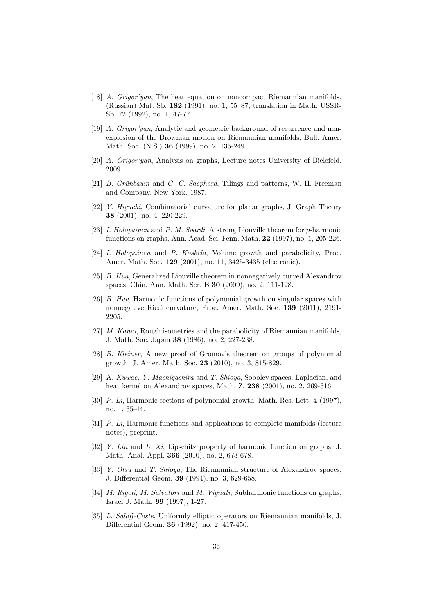- [18] A. Grigor'yan, The heat equation on noncompact Riemannian manifolds, (Russian) Mat. Sb. 182 (1991), no. 1, 55–87; translation in Math. USSR-Sb. 72 (1992), no. 1, 47-77.
- [19] A. Grigor'yan, Analytic and geometric background of recurrence and nonexplosion of the Brownian motion on Riemannian manifolds, Bull. Amer. Math. Soc. (N.S.) 36 (1999), no. 2, 135-249.
- [20] A. Grigor'yan, Analysis on graphs, Lecture notes University of Bielefeld, 2009.
- [21] B. Grünbaum and G. C. Shephard, Tilings and patterns, W. H. Freeman and Company, New York, 1987.
- [22] Y. Higuchi, Combinatorial curvature for planar graphs, J. Graph Theory 38 (2001), no. 4, 220-229.
- [23] *I. Holopainen* and *P. M. Soardi*, A strong Liouville theorem for *p*-harmonic functions on graphs, Ann. Acad. Sci. Fenn. Math. 22 (1997), no. 1, 205-226.
- [24] *I. Holopainen* and *P. Koskela*, Volume growth and parabolicity, Proc. Amer. Math. Soc. 129 (2001), no. 11, 3425-3435 (electronic).
- [25] B. Hua, Generalized Liouville theorem in nonnegatively curved Alexandrov spaces, Chin. Ann. Math. Ser. B 30 (2009), no. 2, 111-128.
- [26] B. Hua, Harmonic functions of polynomial growth on singular spaces with nonnegative Ricci curvature, Proc. Amer. Math. Soc. 139 (2011), 2191- 2205.
- [27] *M. Kanai*, Rough isometries and the parabolicity of Riemannian manifolds, J. Math. Soc. Japan 38 (1986), no. 2, 227-238.
- [28] B. Kleiner, A new proof of Gromov's theorem on groups of polynomial growth, J. Amer. Math. Soc. 23 (2010), no. 3, 815-829.
- [29] K. Kuwae, Y. Machigashira and T. Shioya, Sobolev spaces, Laplacian, and heat kernel on Alexandrov spaces, Math. Z. 238 (2001), no. 2, 269-316.
- [30] P. Li, Harmonic sections of polynomial growth, Math. Res. Lett. 4 (1997), no. 1, 35-44.
- [31] P. Li, Harmonic functions and applications to complete manifolds (lecture notes), preprint.
- [32] Y. Lin and L. Xi, Lipschitz property of harmonic function on graphs, J. Math. Anal. Appl. 366 (2010), no. 2, 673-678.
- [33] *Y. Otsu* and *T. Shioya*, The Riemannian structure of Alexandrov spaces, J. Differential Geom. 39 (1994), no. 3, 629-658.
- [34] *M. Rigoli, M. Salvatori* and *M. Vignati*, Subharmonic functions on graphs, Israel J. Math. 99 (1997), 1-27.
- [35] L. Saloff-Coste, Uniformly elliptic operators on Riemannian manifolds, J. Differential Geom. 36 (1992), no. 2, 417-450.